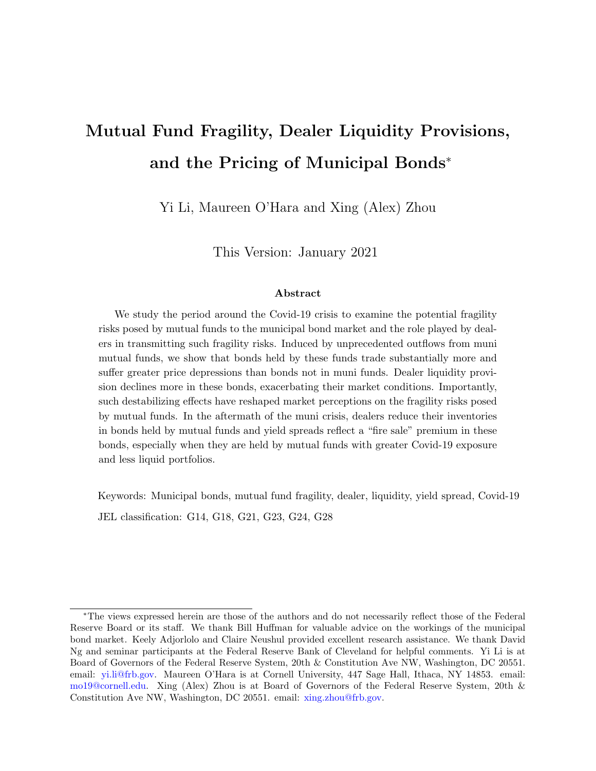# Mutual Fund Fragility, Dealer Liquidity Provisions, and the Pricing of Municipal Bonds<sup>∗</sup>

Yi Li, Maureen O'Hara and Xing (Alex) Zhou

This Version: January 2021

#### Abstract

We study the period around the Covid-19 crisis to examine the potential fragility risks posed by mutual funds to the municipal bond market and the role played by dealers in transmitting such fragility risks. Induced by unprecedented outflows from muni mutual funds, we show that bonds held by these funds trade substantially more and suffer greater price depressions than bonds not in muni funds. Dealer liquidity provision declines more in these bonds, exacerbating their market conditions. Importantly, such destabilizing effects have reshaped market perceptions on the fragility risks posed by mutual funds. In the aftermath of the muni crisis, dealers reduce their inventories in bonds held by mutual funds and yield spreads reflect a "fire sale" premium in these bonds, especially when they are held by mutual funds with greater Covid-19 exposure and less liquid portfolios.

Keywords: Municipal bonds, mutual fund fragility, dealer, liquidity, yield spread, Covid-19 JEL classification: G14, G18, G21, G23, G24, G28

<sup>∗</sup>The views expressed herein are those of the authors and do not necessarily reflect those of the Federal Reserve Board or its staff. We thank Bill Huffman for valuable advice on the workings of the municipal bond market. Keely Adjorlolo and Claire Neushul provided excellent research assistance. We thank David Ng and seminar participants at the Federal Reserve Bank of Cleveland for helpful comments. Yi Li is at Board of Governors of the Federal Reserve System, 20th & Constitution Ave NW, Washington, DC 20551. email: [yi.li@frb.gov.](mailto:yi.li@frb.gov) Maureen O'Hara is at Cornell University, 447 Sage Hall, Ithaca, NY 14853. email: [mo19@cornell.edu.](mo19@cornell.edu) Xing (Alex) Zhou is at Board of Governors of the Federal Reserve System, 20th & Constitution Ave NW, Washington, DC 20551. email: [xing.zhou@frb.gov.](mailto:xing.zhou@frb.gov)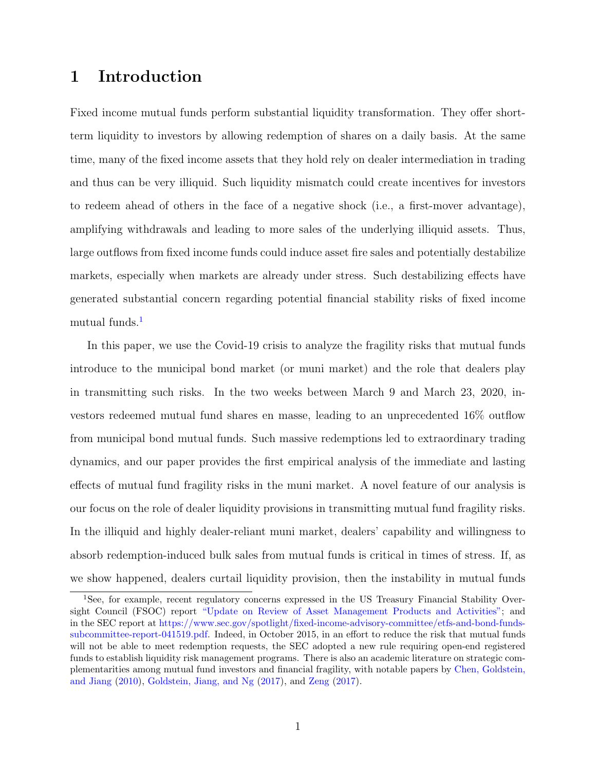## 1 Introduction

Fixed income mutual funds perform substantial liquidity transformation. They offer shortterm liquidity to investors by allowing redemption of shares on a daily basis. At the same time, many of the fixed income assets that they hold rely on dealer intermediation in trading and thus can be very illiquid. Such liquidity mismatch could create incentives for investors to redeem ahead of others in the face of a negative shock (i.e., a first-mover advantage), amplifying withdrawals and leading to more sales of the underlying illiquid assets. Thus, large outflows from fixed income funds could induce asset fire sales and potentially destabilize markets, especially when markets are already under stress. Such destabilizing effects have generated substantial concern regarding potential financial stability risks of fixed income mutual funds.<sup>[1](#page-1-0)</sup>

In this paper, we use the Covid-19 crisis to analyze the fragility risks that mutual funds introduce to the municipal bond market (or muni market) and the role that dealers play in transmitting such risks. In the two weeks between March 9 and March 23, 2020, investors redeemed mutual fund shares en masse, leading to an unprecedented 16% outflow from municipal bond mutual funds. Such massive redemptions led to extraordinary trading dynamics, and our paper provides the first empirical analysis of the immediate and lasting effects of mutual fund fragility risks in the muni market. A novel feature of our analysis is our focus on the role of dealer liquidity provisions in transmitting mutual fund fragility risks. In the illiquid and highly dealer-reliant muni market, dealers' capability and willingness to absorb redemption-induced bulk sales from mutual funds is critical in times of stress. If, as we show happened, dealers curtail liquidity provision, then the instability in mutual funds

<span id="page-1-0"></span><sup>&</sup>lt;sup>1</sup>See, for example, recent regulatory concerns expressed in the US Treasury Financial Stability Oversight Council (FSOC) report ["Update on Review of Asset Management Products and Activities";](https://www.treasury.gov/initiatives/fsoc/news/documents/fsoc%20update%20on%20review%20of%20asset%20management%20products%20and%20activities.pdf) and in the SEC report at [https://www.sec.gov/spotlight/fixed-income-advisory-committee/etfs-and-bond-funds](https://www.sec.gov/spotlight/fixed-income-advisory-committee/etfs-and-bond-funds-subcommittee-report-041519.pdf)[subcommittee-report-041519.pdf.](https://www.sec.gov/spotlight/fixed-income-advisory-committee/etfs-and-bond-funds-subcommittee-report-041519.pdf) Indeed, in October 2015, in an effort to reduce the risk that mutual funds will not be able to meet redemption requests, the SEC adopted a new rule requiring open-end registered funds to establish liquidity risk management programs. There is also an academic literature on strategic complementarities among mutual fund investors and financial fragility, with notable papers by [Chen, Goldstein,](#page-32-0) [and Jiang](#page-32-0) [\(2010\)](#page-32-0), [Goldstein, Jiang, and Ng](#page-33-0) [\(2017\)](#page-33-0), and [Zeng](#page-35-0) [\(2017\)](#page-35-0).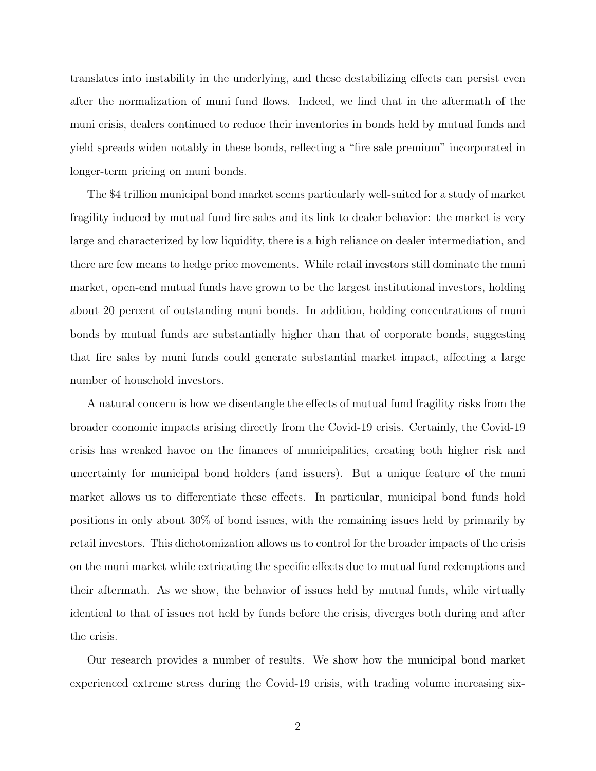translates into instability in the underlying, and these destabilizing effects can persist even after the normalization of muni fund flows. Indeed, we find that in the aftermath of the muni crisis, dealers continued to reduce their inventories in bonds held by mutual funds and yield spreads widen notably in these bonds, reflecting a "fire sale premium" incorporated in longer-term pricing on muni bonds.

The \$4 trillion municipal bond market seems particularly well-suited for a study of market fragility induced by mutual fund fire sales and its link to dealer behavior: the market is very large and characterized by low liquidity, there is a high reliance on dealer intermediation, and there are few means to hedge price movements. While retail investors still dominate the muni market, open-end mutual funds have grown to be the largest institutional investors, holding about 20 percent of outstanding muni bonds. In addition, holding concentrations of muni bonds by mutual funds are substantially higher than that of corporate bonds, suggesting that fire sales by muni funds could generate substantial market impact, affecting a large number of household investors.

A natural concern is how we disentangle the effects of mutual fund fragility risks from the broader economic impacts arising directly from the Covid-19 crisis. Certainly, the Covid-19 crisis has wreaked havoc on the finances of municipalities, creating both higher risk and uncertainty for municipal bond holders (and issuers). But a unique feature of the muni market allows us to differentiate these effects. In particular, municipal bond funds hold positions in only about 30% of bond issues, with the remaining issues held by primarily by retail investors. This dichotomization allows us to control for the broader impacts of the crisis on the muni market while extricating the specific effects due to mutual fund redemptions and their aftermath. As we show, the behavior of issues held by mutual funds, while virtually identical to that of issues not held by funds before the crisis, diverges both during and after the crisis.

Our research provides a number of results. We show how the municipal bond market experienced extreme stress during the Covid-19 crisis, with trading volume increasing six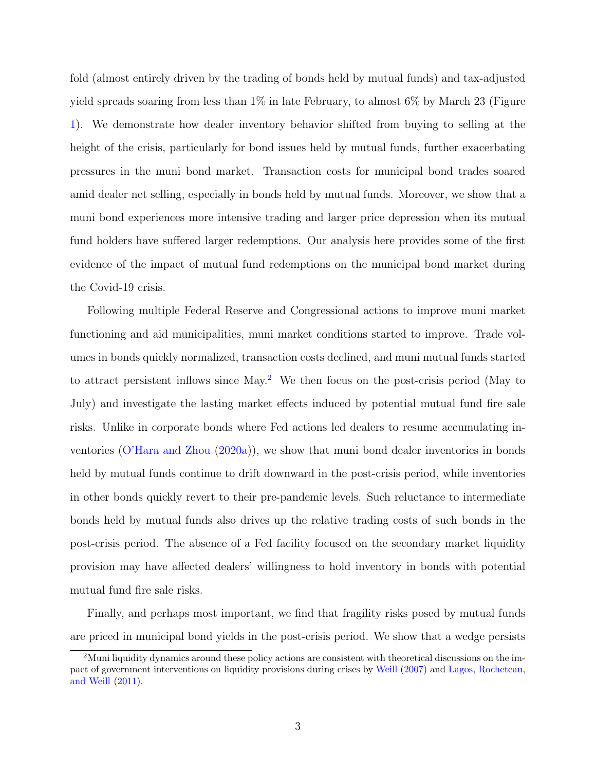fold (almost entirely driven by the trading of bonds held by mutual funds) and tax-adjusted yield spreads soaring from less than 1% in late February, to almost 6% by March 23 (Figure [1\)](#page-36-0). We demonstrate how dealer inventory behavior shifted from buying to selling at the height of the crisis, particularly for bond issues held by mutual funds, further exacerbating pressures in the muni bond market. Transaction costs for municipal bond trades soared amid dealer net selling, especially in bonds held by mutual funds. Moreover, we show that a muni bond experiences more intensive trading and larger price depression when its mutual fund holders have suffered larger redemptions. Our analysis here provides some of the first evidence of the impact of mutual fund redemptions on the municipal bond market during the Covid-19 crisis.

Following multiple Federal Reserve and Congressional actions to improve muni market functioning and aid municipalities, muni market conditions started to improve. Trade volumes in bonds quickly normalized, transaction costs declined, and muni mutual funds started to attract persistent inflows since May.[2](#page-3-0) We then focus on the post-crisis period (May to July) and investigate the lasting market effects induced by potential mutual fund fire sale risks. Unlike in corporate bonds where Fed actions led dealers to resume accumulating inventories [\(O'Hara and Zhou](#page-34-0) [\(2020a\)](#page-34-0)), we show that muni bond dealer inventories in bonds held by mutual funds continue to drift downward in the post-crisis period, while inventories in other bonds quickly revert to their pre-pandemic levels. Such reluctance to intermediate bonds held by mutual funds also drives up the relative trading costs of such bonds in the post-crisis period. The absence of a Fed facility focused on the secondary market liquidity provision may have affected dealers' willingness to hold inventory in bonds with potential mutual fund fire sale risks.

Finally, and perhaps most important, we find that fragility risks posed by mutual funds are priced in municipal bond yields in the post-crisis period. We show that a wedge persists

<span id="page-3-0"></span><sup>2</sup>Muni liquidity dynamics around these policy actions are consistent with theoretical discussions on the impact of government interventions on liquidity provisions during crises by [Weill](#page-35-1) [\(2007\)](#page-35-1) and [Lagos, Rocheteau,](#page-34-1) [and Weill](#page-34-1) [\(2011\)](#page-34-1).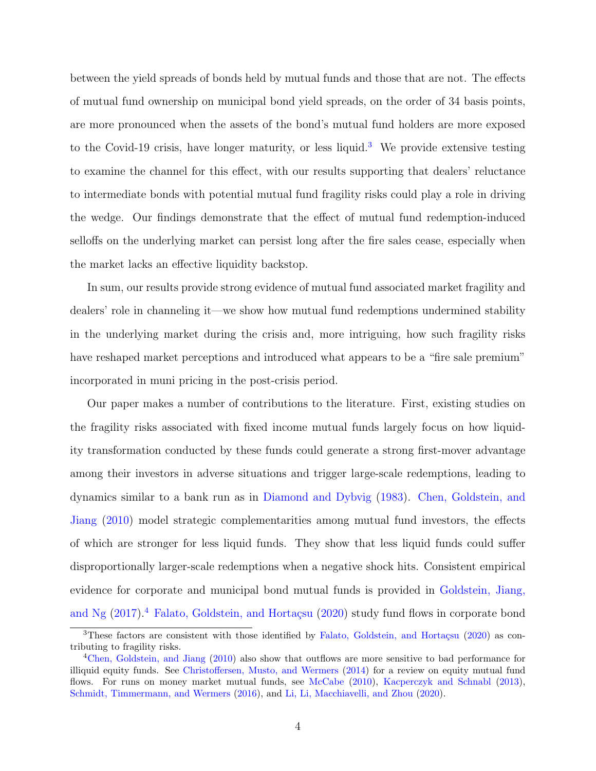between the yield spreads of bonds held by mutual funds and those that are not. The effects of mutual fund ownership on municipal bond yield spreads, on the order of 34 basis points, are more pronounced when the assets of the bond's mutual fund holders are more exposed to the Covid-19 crisis, have longer maturity, or less liquid.<sup>[3](#page-4-0)</sup> We provide extensive testing to examine the channel for this effect, with our results supporting that dealers' reluctance to intermediate bonds with potential mutual fund fragility risks could play a role in driving the wedge. Our findings demonstrate that the effect of mutual fund redemption-induced selloffs on the underlying market can persist long after the fire sales cease, especially when the market lacks an effective liquidity backstop.

In sum, our results provide strong evidence of mutual fund associated market fragility and dealers' role in channeling it—we show how mutual fund redemptions undermined stability in the underlying market during the crisis and, more intriguing, how such fragility risks have reshaped market perceptions and introduced what appears to be a "fire sale premium" incorporated in muni pricing in the post-crisis period.

Our paper makes a number of contributions to the literature. First, existing studies on the fragility risks associated with fixed income mutual funds largely focus on how liquidity transformation conducted by these funds could generate a strong first-mover advantage among their investors in adverse situations and trigger large-scale redemptions, leading to dynamics similar to a bank run as in [Diamond and Dybvig](#page-32-1) [\(1983\)](#page-32-1). [Chen, Goldstein, and](#page-32-0) [Jiang](#page-32-0) [\(2010\)](#page-32-0) model strategic complementarities among mutual fund investors, the effects of which are stronger for less liquid funds. They show that less liquid funds could suffer disproportionally larger-scale redemptions when a negative shock hits. Consistent empirical evidence for corporate and municipal bond mutual funds is provided in [Goldstein, Jiang,](#page-33-0) [and Ng](#page-33-0)  $(2017).<sup>4</sup>$  $(2017).<sup>4</sup>$  $(2017).<sup>4</sup>$  $(2017).<sup>4</sup>$  Falato, Goldstein, and Hortaçsu  $(2020)$  study fund flows in corporate bond

<span id="page-4-0"></span> $3$ These factors are consistent with those identified by Falato, Goldstein, and Hortaçsu [\(2020\)](#page-33-1) as contributing to fragility risks.

<span id="page-4-1"></span><sup>&</sup>lt;sup>4</sup>[Chen, Goldstein, and Jiang](#page-32-0) [\(2010\)](#page-32-0) also show that outflows are more sensitive to bad performance for illiquid equity funds. See [Christoffersen, Musto, and Wermers](#page-32-2) [\(2014\)](#page-32-2) for a review on equity mutual fund flows. For runs on money market mutual funds, see [McCabe](#page-34-2) [\(2010\)](#page-34-2), [Kacperczyk and Schnabl](#page-34-3) [\(2013\)](#page-34-3), [Schmidt, Timmermann, and Wermers](#page-35-2) [\(2016\)](#page-35-2), and [Li, Li, Macchiavelli, and Zhou](#page-34-4) [\(2020\)](#page-34-4).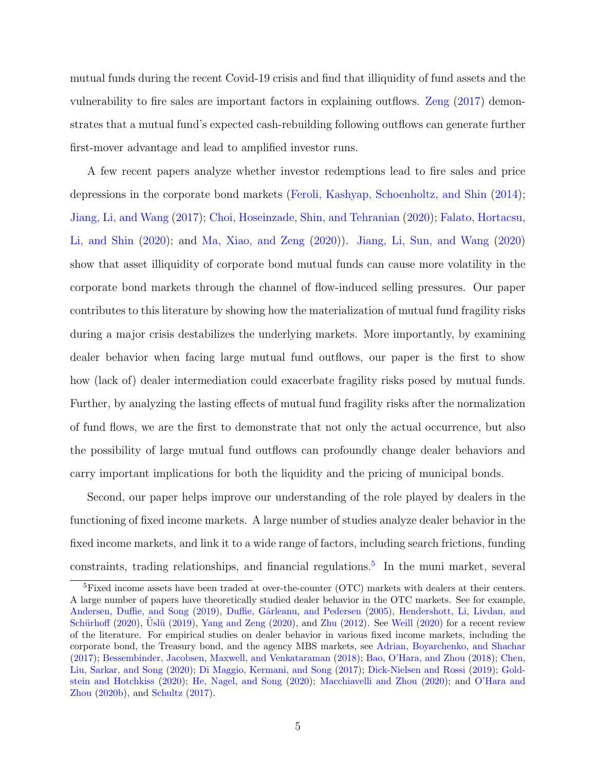mutual funds during the recent Covid-19 crisis and find that illiquidity of fund assets and the vulnerability to fire sales are important factors in explaining outflows. [Zeng](#page-35-0) [\(2017\)](#page-35-0) demonstrates that a mutual fund's expected cash-rebuilding following outflows can generate further first-mover advantage and lead to amplified investor runs.

A few recent papers analyze whether investor redemptions lead to fire sales and price depressions in the corporate bond markets [\(Feroli, Kashyap, Schoenholtz, and Shin](#page-33-2) [\(2014\)](#page-33-2); [Jiang, Li, and Wang](#page-34-5) [\(2017\)](#page-34-5); [Choi, Hoseinzade, Shin, and Tehranian](#page-32-3) [\(2020\)](#page-32-3); [Falato, Hortacsu,](#page-33-3) [Li, and Shin](#page-33-3) [\(2020\)](#page-33-3); and [Ma, Xiao, and Zeng](#page-34-6) [\(2020\)](#page-34-6)). [Jiang, Li, Sun, and Wang](#page-34-7) [\(2020\)](#page-34-7) show that asset illiquidity of corporate bond mutual funds can cause more volatility in the corporate bond markets through the channel of flow-induced selling pressures. Our paper contributes to this literature by showing how the materialization of mutual fund fragility risks during a major crisis destabilizes the underlying markets. More importantly, by examining dealer behavior when facing large mutual fund outflows, our paper is the first to show how (lack of) dealer intermediation could exacerbate fragility risks posed by mutual funds. Further, by analyzing the lasting effects of mutual fund fragility risks after the normalization of fund flows, we are the first to demonstrate that not only the actual occurrence, but also the possibility of large mutual fund outflows can profoundly change dealer behaviors and carry important implications for both the liquidity and the pricing of municipal bonds.

Second, our paper helps improve our understanding of the role played by dealers in the functioning of fixed income markets. A large number of studies analyze dealer behavior in the fixed income markets, and link it to a wide range of factors, including search frictions, funding constraints, trading relationships, and financial regulations.<sup>[5](#page-5-0)</sup> In the muni market, several

<span id="page-5-0"></span><sup>&</sup>lt;sup>5</sup>Fixed income assets have been traded at over-the-counter (OTC) markets with dealers at their centers. A large number of papers have theoretically studied dealer behavior in the OTC markets. See for example, [Andersen, Duffie, and Song](#page-32-4) [\(2019\)](#page-32-4), Duffie, Gârleanu, and Pedersen [\(2005\)](#page-33-4), [Hendershott, Li, Livdan, and](#page-34-8) Schürhoff [\(2020\)](#page-35-6), Uslü [\(2019\)](#page-35-3), [Yang and Zeng](#page-35-4) (2020), and [Zhu](#page-35-5) [\(2012\)](#page-35-5). See [Weill](#page-35-6) (2020) for a recent review of the literature. For empirical studies on dealer behavior in various fixed income markets, including the corporate bond, the Treasury bond, and the agency MBS markets, see [Adrian, Boyarchenko, and Shachar](#page-32-5) [\(2017\)](#page-32-5); [Bessembinder, Jacobsen, Maxwell, and Venkataraman](#page-32-6) [\(2018\)](#page-32-6); [Bao, O'Hara, and Zhou](#page-32-7) [\(2018\)](#page-32-7); [Chen,](#page-32-8) [Liu, Sarkar, and Song](#page-32-8) [\(2020\)](#page-32-8); [Di Maggio, Kermani, and Song](#page-32-9) [\(2017\)](#page-32-9); [Dick-Nielsen and Rossi](#page-32-10) [\(2019\)](#page-32-10); [Gold](#page-33-5)[stein and Hotchkiss](#page-33-5) [\(2020\)](#page-33-5); [He, Nagel, and Song](#page-33-6) [\(2020\)](#page-33-6); [Macchiavelli and Zhou](#page-34-9) [\(2020\)](#page-34-9); and [O'Hara and](#page-34-10) [Zhou](#page-34-10) [\(2020b\)](#page-34-10), and [Schultz](#page-35-7) [\(2017\)](#page-35-7).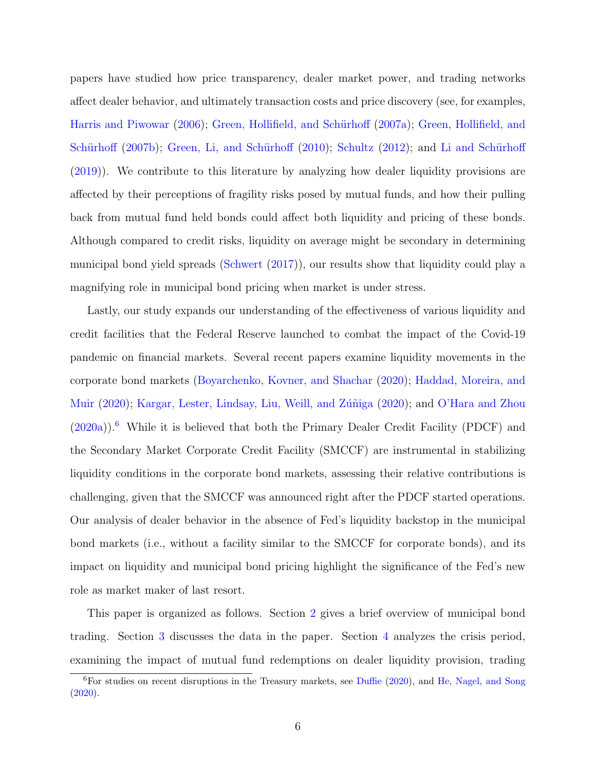papers have studied how price transparency, dealer market power, and trading networks affect dealer behavior, and ultimately transaction costs and price discovery (see, for examples, [Harris and Piwowar](#page-33-7) [\(2006\)](#page-33-7); Green, Hollifield, and Schürhoff [\(2007a\)](#page-33-8); [Green, Hollifield, and](#page-33-9) Schürhoff  $(2007b)$ ; Green, Li, and Schürhoff  $(2010)$ ; [Schultz](#page-35-8)  $(2012)$ ; and Li and Schürhoff [\(2019\)](#page-34-11)). We contribute to this literature by analyzing how dealer liquidity provisions are affected by their perceptions of fragility risks posed by mutual funds, and how their pulling back from mutual fund held bonds could affect both liquidity and pricing of these bonds. Although compared to credit risks, liquidity on average might be secondary in determining municipal bond yield spreads [\(Schwert](#page-35-9) [\(2017\)](#page-35-9)), our results show that liquidity could play a magnifying role in municipal bond pricing when market is under stress.

Lastly, our study expands our understanding of the effectiveness of various liquidity and credit facilities that the Federal Reserve launched to combat the impact of the Covid-19 pandemic on financial markets. Several recent papers examine liquidity movements in the corporate bond markets [\(Boyarchenko, Kovner, and Shachar](#page-32-11) [\(2020\)](#page-32-11); [Haddad, Moreira, and](#page-33-11) [Muir](#page-33-11) [\(2020\)](#page-34-12); Kargar, Lester, Lindsay, Liu, Weill, and Zúñiga (2020); and [O'Hara and Zhou](#page-34-0)  $(2020a)$ .<sup>[6](#page-6-0)</sup> While it is believed that both the Primary Dealer Credit Facility (PDCF) and the Secondary Market Corporate Credit Facility (SMCCF) are instrumental in stabilizing liquidity conditions in the corporate bond markets, assessing their relative contributions is challenging, given that the SMCCF was announced right after the PDCF started operations. Our analysis of dealer behavior in the absence of Fed's liquidity backstop in the municipal bond markets (i.e., without a facility similar to the SMCCF for corporate bonds), and its impact on liquidity and municipal bond pricing highlight the significance of the Fed's new role as market maker of last resort.

This paper is organized as follows. Section [2](#page-7-0) gives a brief overview of municipal bond trading. Section [3](#page-9-0) discusses the data in the paper. Section [4](#page-10-0) analyzes the crisis period, examining the impact of mutual fund redemptions on dealer liquidity provision, trading

<span id="page-6-0"></span> ${}^{6}$ For studies on recent disruptions in the Treasury markets, see [Duffie](#page-33-12) [\(2020\)](#page-33-12), and [He, Nagel, and Song](#page-33-6) [\(2020\)](#page-33-6).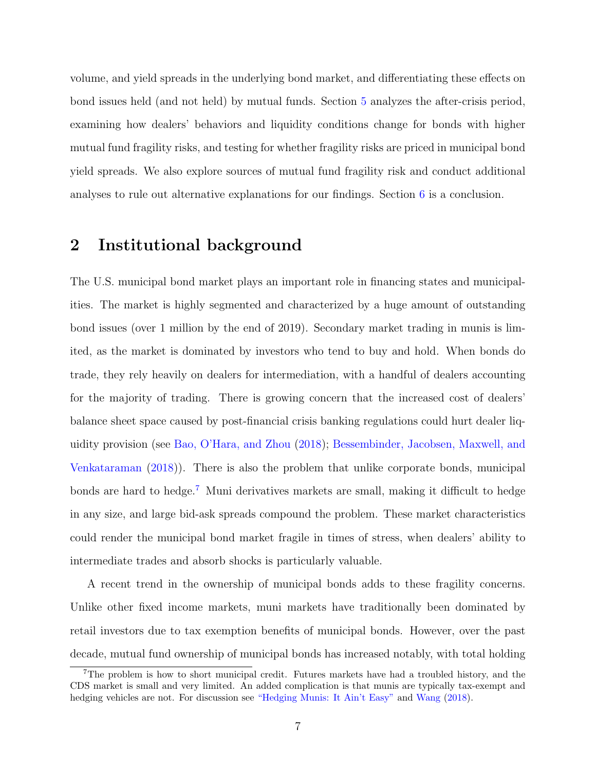volume, and yield spreads in the underlying bond market, and differentiating these effects on bond issues held (and not held) by mutual funds. Section [5](#page-21-0) analyzes the after-crisis period, examining how dealers' behaviors and liquidity conditions change for bonds with higher mutual fund fragility risks, and testing for whether fragility risks are priced in municipal bond yield spreads. We also explore sources of mutual fund fragility risk and conduct additional analyses to rule out alternative explanations for our findings. Section [6](#page-30-0) is a conclusion.

### <span id="page-7-0"></span>2 Institutional background

The U.S. municipal bond market plays an important role in financing states and municipalities. The market is highly segmented and characterized by a huge amount of outstanding bond issues (over 1 million by the end of 2019). Secondary market trading in munis is limited, as the market is dominated by investors who tend to buy and hold. When bonds do trade, they rely heavily on dealers for intermediation, with a handful of dealers accounting for the majority of trading. There is growing concern that the increased cost of dealers' balance sheet space caused by post-financial crisis banking regulations could hurt dealer liquidity provision (see [Bao, O'Hara, and Zhou](#page-32-7) [\(2018\)](#page-32-7); [Bessembinder, Jacobsen, Maxwell, and](#page-32-6) [Venkataraman](#page-32-6) [\(2018\)](#page-32-6)). There is also the problem that unlike corporate bonds, municipal bonds are hard to hedge.<sup>[7](#page-7-1)</sup> Muni derivatives markets are small, making it difficult to hedge in any size, and large bid-ask spreads compound the problem. These market characteristics could render the municipal bond market fragile in times of stress, when dealers' ability to intermediate trades and absorb shocks is particularly valuable.

A recent trend in the ownership of municipal bonds adds to these fragility concerns. Unlike other fixed income markets, muni markets have traditionally been dominated by retail investors due to tax exemption benefits of municipal bonds. However, over the past decade, mutual fund ownership of municipal bonds has increased notably, with total holding

<span id="page-7-1"></span><sup>7</sup>The problem is how to short municipal credit. Futures markets have had a troubled history, and the CDS market is small and very limited. An added complication is that munis are typically tax-exempt and hedging vehicles are not. For discussion see ["Hedging Munis: It Ain't Easy"](https://www.financial-planning.com/news/hedging-munis-it-aint-easy) and [Wang](#page-35-10) [\(2018\)](#page-35-10).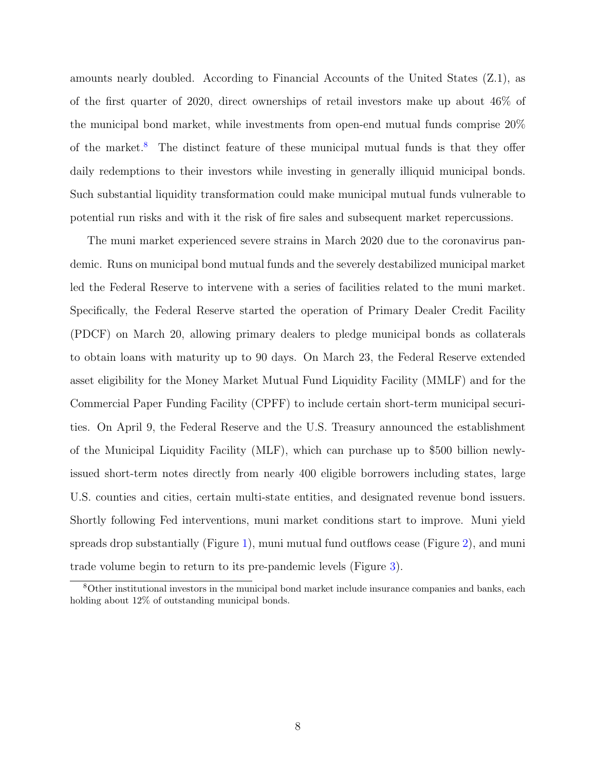amounts nearly doubled. According to Financial Accounts of the United States (Z.1), as of the first quarter of 2020, direct ownerships of retail investors make up about 46% of the municipal bond market, while investments from open-end mutual funds comprise 20% of the market.<sup>[8](#page-8-0)</sup> The distinct feature of these municipal mutual funds is that they offer daily redemptions to their investors while investing in generally illiquid municipal bonds. Such substantial liquidity transformation could make municipal mutual funds vulnerable to potential run risks and with it the risk of fire sales and subsequent market repercussions.

The muni market experienced severe strains in March 2020 due to the coronavirus pandemic. Runs on municipal bond mutual funds and the severely destabilized municipal market led the Federal Reserve to intervene with a series of facilities related to the muni market. Specifically, the Federal Reserve started the operation of Primary Dealer Credit Facility (PDCF) on March 20, allowing primary dealers to pledge municipal bonds as collaterals to obtain loans with maturity up to 90 days. On March 23, the Federal Reserve extended asset eligibility for the Money Market Mutual Fund Liquidity Facility (MMLF) and for the Commercial Paper Funding Facility (CPFF) to include certain short-term municipal securities. On April 9, the Federal Reserve and the U.S. Treasury announced the establishment of the Municipal Liquidity Facility (MLF), which can purchase up to \$500 billion newlyissued short-term notes directly from nearly 400 eligible borrowers including states, large U.S. counties and cities, certain multi-state entities, and designated revenue bond issuers. Shortly following Fed interventions, muni market conditions start to improve. Muni yield spreads drop substantially (Figure [1\)](#page-36-0), muni mutual fund outflows cease (Figure [2\)](#page-37-0), and muni trade volume begin to return to its pre-pandemic levels (Figure [3\)](#page-38-0).

<span id="page-8-0"></span><sup>8</sup>Other institutional investors in the municipal bond market include insurance companies and banks, each holding about 12% of outstanding municipal bonds.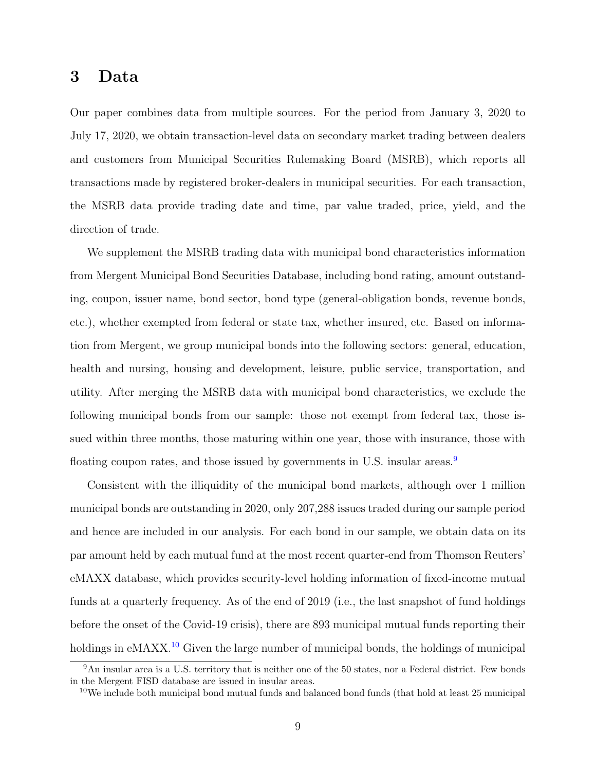### <span id="page-9-0"></span>3 Data

Our paper combines data from multiple sources. For the period from January 3, 2020 to July 17, 2020, we obtain transaction-level data on secondary market trading between dealers and customers from Municipal Securities Rulemaking Board (MSRB), which reports all transactions made by registered broker-dealers in municipal securities. For each transaction, the MSRB data provide trading date and time, par value traded, price, yield, and the direction of trade.

We supplement the MSRB trading data with municipal bond characteristics information from Mergent Municipal Bond Securities Database, including bond rating, amount outstanding, coupon, issuer name, bond sector, bond type (general-obligation bonds, revenue bonds, etc.), whether exempted from federal or state tax, whether insured, etc. Based on information from Mergent, we group municipal bonds into the following sectors: general, education, health and nursing, housing and development, leisure, public service, transportation, and utility. After merging the MSRB data with municipal bond characteristics, we exclude the following municipal bonds from our sample: those not exempt from federal tax, those issued within three months, those maturing within one year, those with insurance, those with floating coupon rates, and those issued by governments in U.S. insular areas.<sup>[9](#page-9-1)</sup>

Consistent with the illiquidity of the municipal bond markets, although over 1 million municipal bonds are outstanding in 2020, only 207,288 issues traded during our sample period and hence are included in our analysis. For each bond in our sample, we obtain data on its par amount held by each mutual fund at the most recent quarter-end from Thomson Reuters' eMAXX database, which provides security-level holding information of fixed-income mutual funds at a quarterly frequency. As of the end of 2019 (i.e., the last snapshot of fund holdings before the onset of the Covid-19 crisis), there are 893 municipal mutual funds reporting their holdings in eMAXX.<sup>[10](#page-9-2)</sup> Given the large number of municipal bonds, the holdings of municipal

<span id="page-9-1"></span><sup>9</sup>An insular area is a U.S. territory that is neither one of the 50 states, nor a Federal district. Few bonds in the Mergent FISD database are issued in insular areas.

<span id="page-9-2"></span> $10\,\text{We include both municipal bond mutual funds and balanced bond funds (that hold at least 25 municipal)$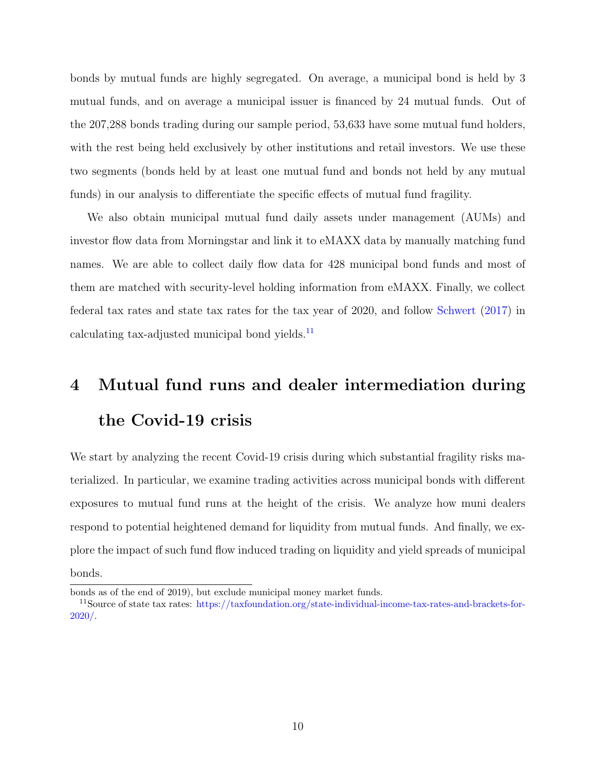bonds by mutual funds are highly segregated. On average, a municipal bond is held by 3 mutual funds, and on average a municipal issuer is financed by 24 mutual funds. Out of the 207,288 bonds trading during our sample period, 53,633 have some mutual fund holders, with the rest being held exclusively by other institutions and retail investors. We use these two segments (bonds held by at least one mutual fund and bonds not held by any mutual funds) in our analysis to differentiate the specific effects of mutual fund fragility.

We also obtain municipal mutual fund daily assets under management (AUMs) and investor flow data from Morningstar and link it to eMAXX data by manually matching fund names. We are able to collect daily flow data for 428 municipal bond funds and most of them are matched with security-level holding information from eMAXX. Finally, we collect federal tax rates and state tax rates for the tax year of 2020, and follow [Schwert](#page-35-9) [\(2017\)](#page-35-9) in calculating tax-adjusted municipal bond yields.<sup>[11](#page-10-1)</sup>

# <span id="page-10-0"></span>4 Mutual fund runs and dealer intermediation during the Covid-19 crisis

We start by analyzing the recent Covid-19 crisis during which substantial fragility risks materialized. In particular, we examine trading activities across municipal bonds with different exposures to mutual fund runs at the height of the crisis. We analyze how muni dealers respond to potential heightened demand for liquidity from mutual funds. And finally, we explore the impact of such fund flow induced trading on liquidity and yield spreads of municipal bonds.

bonds as of the end of 2019), but exclude municipal money market funds.

<span id="page-10-1"></span><sup>&</sup>lt;sup>11</sup>Source of state tax rates: [https://taxfoundation.org/state-individual-income-tax-rates-and-brackets-for-](https://taxfoundation.org/state-individual-income-tax-rates-and-brackets-for-2020/)[2020/.](https://taxfoundation.org/state-individual-income-tax-rates-and-brackets-for-2020/)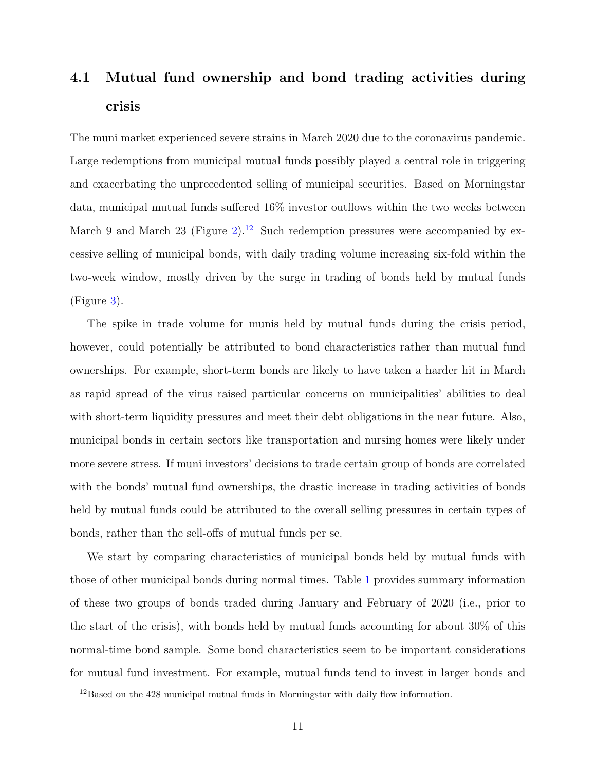## 4.1 Mutual fund ownership and bond trading activities during crisis

The muni market experienced severe strains in March 2020 due to the coronavirus pandemic. Large redemptions from municipal mutual funds possibly played a central role in triggering and exacerbating the unprecedented selling of municipal securities. Based on Morningstar data, municipal mutual funds suffered 16% investor outflows within the two weeks between March 9 and March 23 (Figure [2\)](#page-37-0).<sup>[12](#page-11-0)</sup> Such redemption pressures were accompanied by excessive selling of municipal bonds, with daily trading volume increasing six-fold within the two-week window, mostly driven by the surge in trading of bonds held by mutual funds (Figure [3\)](#page-38-0).

The spike in trade volume for munis held by mutual funds during the crisis period, however, could potentially be attributed to bond characteristics rather than mutual fund ownerships. For example, short-term bonds are likely to have taken a harder hit in March as rapid spread of the virus raised particular concerns on municipalities' abilities to deal with short-term liquidity pressures and meet their debt obligations in the near future. Also, municipal bonds in certain sectors like transportation and nursing homes were likely under more severe stress. If muni investors' decisions to trade certain group of bonds are correlated with the bonds' mutual fund ownerships, the drastic increase in trading activities of bonds held by mutual funds could be attributed to the overall selling pressures in certain types of bonds, rather than the sell-offs of mutual funds per se.

We start by comparing characteristics of municipal bonds held by mutual funds with those of other municipal bonds during normal times. Table [1](#page-42-0) provides summary information of these two groups of bonds traded during January and February of 2020 (i.e., prior to the start of the crisis), with bonds held by mutual funds accounting for about 30% of this normal-time bond sample. Some bond characteristics seem to be important considerations for mutual fund investment. For example, mutual funds tend to invest in larger bonds and

<span id="page-11-0"></span> $^{12}\mathrm{Based}$  on the 428 municipal mutual funds in Morningstar with daily flow information.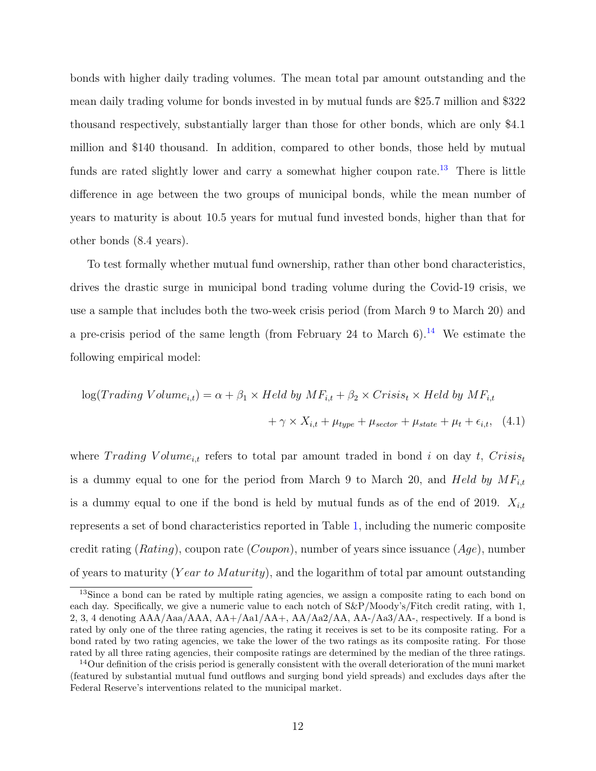bonds with higher daily trading volumes. The mean total par amount outstanding and the mean daily trading volume for bonds invested in by mutual funds are \$25.7 million and \$322 thousand respectively, substantially larger than those for other bonds, which are only \$4.1 million and \$140 thousand. In addition, compared to other bonds, those held by mutual funds are rated slightly lower and carry a somewhat higher coupon rate.<sup>[13](#page-12-0)</sup> There is little difference in age between the two groups of municipal bonds, while the mean number of years to maturity is about 10.5 years for mutual fund invested bonds, higher than that for other bonds (8.4 years).

To test formally whether mutual fund ownership, rather than other bond characteristics, drives the drastic surge in municipal bond trading volume during the Covid-19 crisis, we use a sample that includes both the two-week crisis period (from March 9 to March 20) and a pre-crisis period of the same length (from February 24 to March  $6$ ).<sup>[14](#page-12-1)</sup> We estimate the following empirical model:

<span id="page-12-2"></span>
$$
log(Trading Volume_{i,t}) = \alpha + \beta_1 \times Held by MF_{i,t} + \beta_2 \times Crisis_t \times Held by MF_{i,t}
$$

$$
+ \gamma \times X_{i,t} + \mu_{type} + \mu_{sector} + \mu_{state} + \mu_t + \epsilon_{i,t}, \quad (4.1)
$$

where Trading Volume<sub>i,t</sub> refers to total par amount traded in bond i on day t, Crisis<sub>t</sub> is a dummy equal to one for the period from March 9 to March 20, and Held by  $MF_{i,t}$ is a dummy equal to one if the bond is held by mutual funds as of the end of 2019.  $X_{i,t}$ represents a set of bond characteristics reported in Table [1,](#page-42-0) including the numeric composite credit rating (*Rating*), coupon rate (*Coupon*), number of years since issuance ( $Aqe$ ), number of years to maturity (Year to Maturity), and the logarithm of total par amount outstanding

<span id="page-12-0"></span><sup>&</sup>lt;sup>13</sup>Since a bond can be rated by multiple rating agencies, we assign a composite rating to each bond on each day. Specifically, we give a numeric value to each notch of  $S\&P/Moody's/Fitch credit rating, with 1,$ 2, 3, 4 denoting  $AAA/Aaa/AA$ ,  $AA+/Aa1/AA+$ ,  $AA/Aa2/AA$ ,  $AA-/Aa3/AA$ , respectively. If a bond is rated by only one of the three rating agencies, the rating it receives is set to be its composite rating. For a bond rated by two rating agencies, we take the lower of the two ratings as its composite rating. For those rated by all three rating agencies, their composite ratings are determined by the median of the three ratings.

<span id="page-12-1"></span> $14$ Our definition of the crisis period is generally consistent with the overall deterioration of the muni market (featured by substantial mutual fund outflows and surging bond yield spreads) and excludes days after the Federal Reserve's interventions related to the municipal market.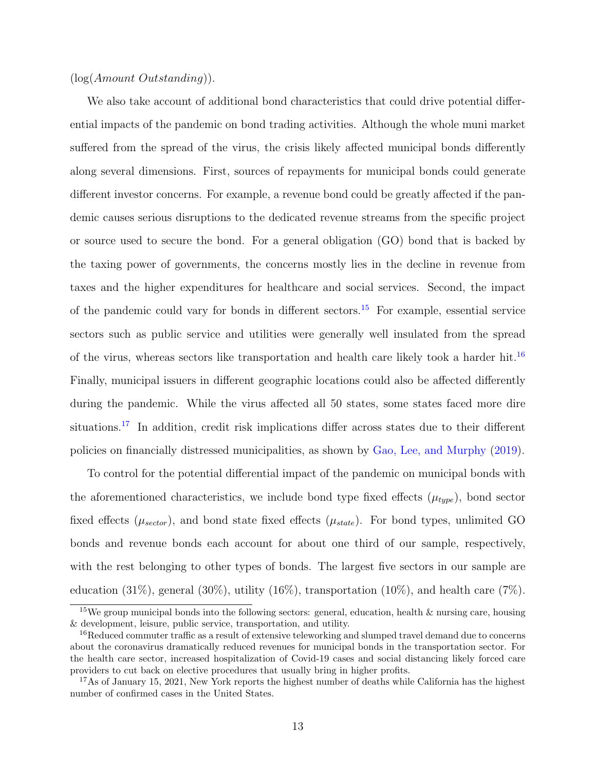#### $(log(Amount Outstanding)).$

We also take account of additional bond characteristics that could drive potential differential impacts of the pandemic on bond trading activities. Although the whole muni market suffered from the spread of the virus, the crisis likely affected municipal bonds differently along several dimensions. First, sources of repayments for municipal bonds could generate different investor concerns. For example, a revenue bond could be greatly affected if the pandemic causes serious disruptions to the dedicated revenue streams from the specific project or source used to secure the bond. For a general obligation (GO) bond that is backed by the taxing power of governments, the concerns mostly lies in the decline in revenue from taxes and the higher expenditures for healthcare and social services. Second, the impact of the pandemic could vary for bonds in different sectors.<sup>[15](#page-13-0)</sup> For example, essential service sectors such as public service and utilities were generally well insulated from the spread of the virus, whereas sectors like transportation and health care likely took a harder hit.[16](#page-13-1) Finally, municipal issuers in different geographic locations could also be affected differently during the pandemic. While the virus affected all 50 states, some states faced more dire situations.<sup>[17](#page-13-2)</sup> In addition, credit risk implications differ across states due to their different policies on financially distressed municipalities, as shown by [Gao, Lee, and Murphy](#page-33-13) [\(2019\)](#page-33-13).

To control for the potential differential impact of the pandemic on municipal bonds with the aforementioned characteristics, we include bond type fixed effects  $(\mu_{type})$ , bond sector fixed effects ( $\mu_{sector}$ ), and bond state fixed effects ( $\mu_{state}$ ). For bond types, unlimited GO bonds and revenue bonds each account for about one third of our sample, respectively, with the rest belonging to other types of bonds. The largest five sectors in our sample are education  $(31\%)$ , general  $(30\%)$ , utility  $(16\%)$ , transportation  $(10\%)$ , and health care  $(7\%)$ .

<span id="page-13-0"></span><sup>&</sup>lt;sup>15</sup>We group municipal bonds into the following sectors: general, education, health  $\&$  nursing care, housing & development, leisure, public service, transportation, and utility.

<span id="page-13-1"></span><sup>&</sup>lt;sup>16</sup>Reduced commuter traffic as a result of extensive teleworking and slumped travel demand due to concerns about the coronavirus dramatically reduced revenues for municipal bonds in the transportation sector. For the health care sector, increased hospitalization of Covid-19 cases and social distancing likely forced care providers to cut back on elective procedures that usually bring in higher profits.

<span id="page-13-2"></span><sup>&</sup>lt;sup>17</sup>As of January 15, 2021, New York reports the highest number of deaths while California has the highest number of confirmed cases in the United States.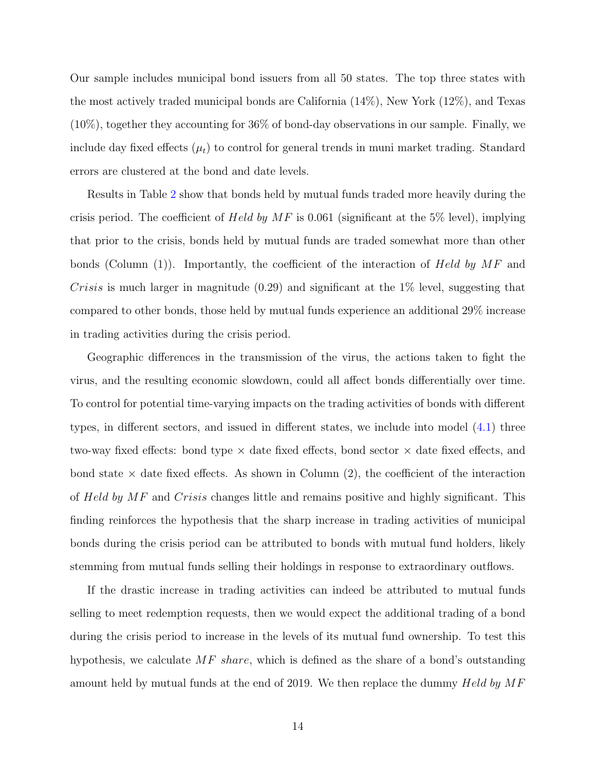Our sample includes municipal bond issuers from all 50 states. The top three states with the most actively traded municipal bonds are California (14%), New York (12%), and Texas (10%), together they accounting for 36% of bond-day observations in our sample. Finally, we include day fixed effects  $(\mu_t)$  to control for general trends in muni market trading. Standard errors are clustered at the bond and date levels.

Results in Table [2](#page-43-0) show that bonds held by mutual funds traded more heavily during the crisis period. The coefficient of Held by  $MF$  is 0.061 (significant at the 5% level), implying that prior to the crisis, bonds held by mutual funds are traded somewhat more than other bonds (Column  $(1)$ ). Importantly, the coefficient of the interaction of Held by MF and Crisis is much larger in magnitude  $(0.29)$  and significant at the 1% level, suggesting that compared to other bonds, those held by mutual funds experience an additional 29% increase in trading activities during the crisis period.

Geographic differences in the transmission of the virus, the actions taken to fight the virus, and the resulting economic slowdown, could all affect bonds differentially over time. To control for potential time-varying impacts on the trading activities of bonds with different types, in different sectors, and issued in different states, we include into model [\(4.1\)](#page-12-2) three two-way fixed effects: bond type  $\times$  date fixed effects, bond sector  $\times$  date fixed effects, and bond state  $\times$  date fixed effects. As shown in Column (2), the coefficient of the interaction of Held by MF and Crisis changes little and remains positive and highly significant. This finding reinforces the hypothesis that the sharp increase in trading activities of municipal bonds during the crisis period can be attributed to bonds with mutual fund holders, likely stemming from mutual funds selling their holdings in response to extraordinary outflows.

If the drastic increase in trading activities can indeed be attributed to mutual funds selling to meet redemption requests, then we would expect the additional trading of a bond during the crisis period to increase in the levels of its mutual fund ownership. To test this hypothesis, we calculate MF share, which is defined as the share of a bond's outstanding amount held by mutual funds at the end of 2019. We then replace the dummy  $Held$  by  $MF$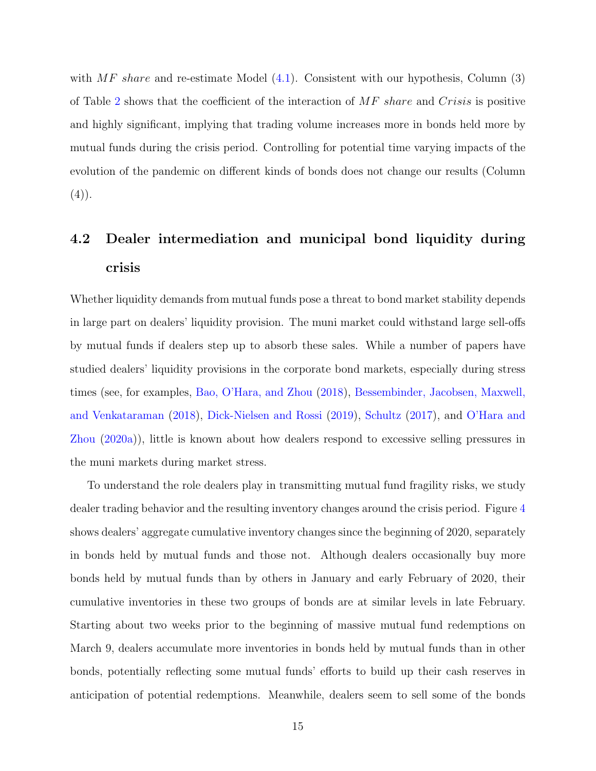with  $MF$  share and re-estimate Model [\(4.1\)](#page-12-2). Consistent with our hypothesis, Column (3) of Table [2](#page-43-0) shows that the coefficient of the interaction of MF share and Crisis is positive and highly significant, implying that trading volume increases more in bonds held more by mutual funds during the crisis period. Controlling for potential time varying impacts of the evolution of the pandemic on different kinds of bonds does not change our results (Column  $(4)$ .

## 4.2 Dealer intermediation and municipal bond liquidity during crisis

Whether liquidity demands from mutual funds pose a threat to bond market stability depends in large part on dealers' liquidity provision. The muni market could withstand large sell-offs by mutual funds if dealers step up to absorb these sales. While a number of papers have studied dealers' liquidity provisions in the corporate bond markets, especially during stress times (see, for examples, [Bao, O'Hara, and Zhou](#page-32-7) [\(2018\)](#page-32-7), [Bessembinder, Jacobsen, Maxwell,](#page-32-6) [and Venkataraman](#page-32-6) [\(2018\)](#page-32-6), [Dick-Nielsen and Rossi](#page-32-10) [\(2019\)](#page-32-10), [Schultz](#page-35-7) [\(2017\)](#page-35-7), and [O'Hara and](#page-34-0) [Zhou](#page-34-0) [\(2020a\)](#page-34-0)), little is known about how dealers respond to excessive selling pressures in the muni markets during market stress.

To understand the role dealers play in transmitting mutual fund fragility risks, we study dealer trading behavior and the resulting inventory changes around the crisis period. Figure [4](#page-39-0) shows dealers' aggregate cumulative inventory changes since the beginning of 2020, separately in bonds held by mutual funds and those not. Although dealers occasionally buy more bonds held by mutual funds than by others in January and early February of 2020, their cumulative inventories in these two groups of bonds are at similar levels in late February. Starting about two weeks prior to the beginning of massive mutual fund redemptions on March 9, dealers accumulate more inventories in bonds held by mutual funds than in other bonds, potentially reflecting some mutual funds' efforts to build up their cash reserves in anticipation of potential redemptions. Meanwhile, dealers seem to sell some of the bonds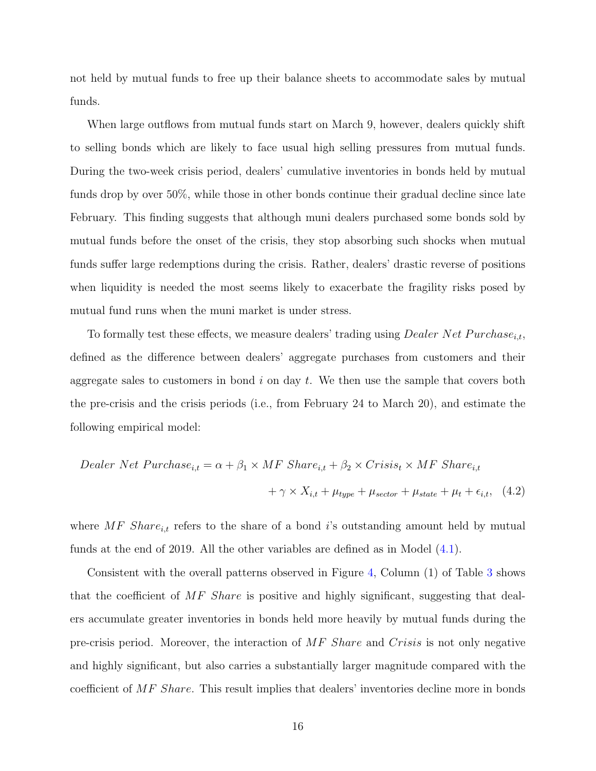not held by mutual funds to free up their balance sheets to accommodate sales by mutual funds.

When large outflows from mutual funds start on March 9, however, dealers quickly shift to selling bonds which are likely to face usual high selling pressures from mutual funds. During the two-week crisis period, dealers' cumulative inventories in bonds held by mutual funds drop by over 50%, while those in other bonds continue their gradual decline since late February. This finding suggests that although muni dealers purchased some bonds sold by mutual funds before the onset of the crisis, they stop absorbing such shocks when mutual funds suffer large redemptions during the crisis. Rather, dealers' drastic reverse of positions when liquidity is needed the most seems likely to exacerbate the fragility risks posed by mutual fund runs when the muni market is under stress.

To formally test these effects, we measure dealers' trading using *Dealer Net Purchase*<sub>i,t</sub>, defined as the difference between dealers' aggregate purchases from customers and their aggregate sales to customers in bond  $i$  on day  $t$ . We then use the sample that covers both the pre-crisis and the crisis periods (i.e., from February 24 to March 20), and estimate the following empirical model:

<span id="page-16-0"></span>
$$
Dealer Net Purchase_{i,t} = \alpha + \beta_1 \times MF \,Share_{i,t} + \beta_2 \times Crisis_t \times MF \,Share_{i,t}
$$

$$
+ \gamma \times X_{i,t} + \mu_{type} + \mu_{sector} + \mu_{state} + \mu_t + \epsilon_{i,t}, \quad (4.2)
$$

where MF Share<sub>i,t</sub> refers to the share of a bond i's outstanding amount held by mutual funds at the end of 2019. All the other variables are defined as in Model [\(4.1\)](#page-12-2).

Consistent with the overall patterns observed in Figure [4,](#page-39-0) Column (1) of Table [3](#page-44-0) shows that the coefficient of  $MF$  Share is positive and highly significant, suggesting that dealers accumulate greater inventories in bonds held more heavily by mutual funds during the pre-crisis period. Moreover, the interaction of MF Share and Crisis is not only negative and highly significant, but also carries a substantially larger magnitude compared with the coefficient of MF Share. This result implies that dealers' inventories decline more in bonds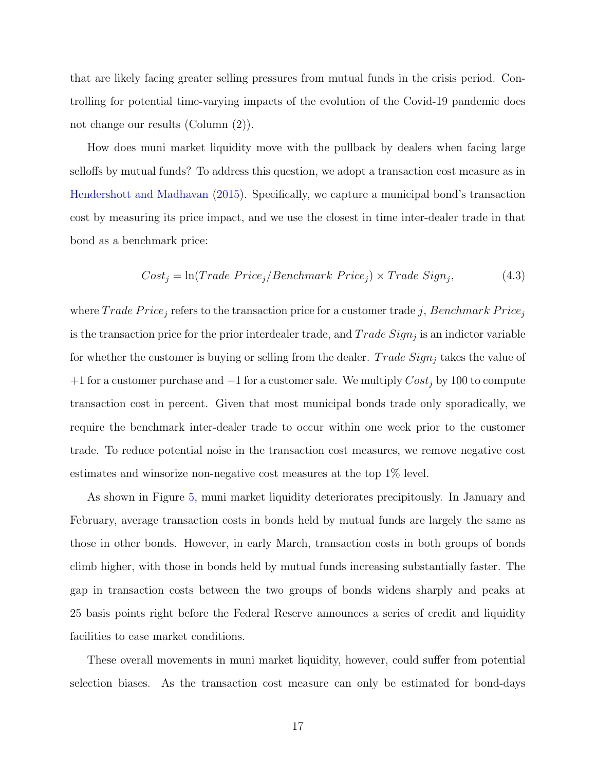that are likely facing greater selling pressures from mutual funds in the crisis period. Controlling for potential time-varying impacts of the evolution of the Covid-19 pandemic does not change our results (Column (2)).

How does muni market liquidity move with the pullback by dealers when facing large selloffs by mutual funds? To address this question, we adopt a transaction cost measure as in [Hendershott and Madhavan](#page-34-13) [\(2015\)](#page-34-13). Specifically, we capture a municipal bond's transaction cost by measuring its price impact, and we use the closest in time inter-dealer trade in that bond as a benchmark price:

<span id="page-17-0"></span>
$$
Cost_j = \ln(Trade\ Price_j/Benchmark\ Price_j) \times Trade\ Sign_j,\tag{4.3}
$$

where  $Trade\ Price_j$  refers to the transaction price for a customer trade j, Benchmark Price<sub>j</sub> is the transaction price for the prior interdealer trade, and  $Trade\ Sign_j$  is an indictor variable for whether the customer is buying or selling from the dealer. Trade  $Sign_i$  takes the value of +1 for a customer purchase and  $-1$  for a customer sale. We multiply  $Cost_j$  by 100 to compute transaction cost in percent. Given that most municipal bonds trade only sporadically, we require the benchmark inter-dealer trade to occur within one week prior to the customer trade. To reduce potential noise in the transaction cost measures, we remove negative cost estimates and winsorize non-negative cost measures at the top 1% level.

As shown in Figure [5,](#page-40-0) muni market liquidity deteriorates precipitously. In January and February, average transaction costs in bonds held by mutual funds are largely the same as those in other bonds. However, in early March, transaction costs in both groups of bonds climb higher, with those in bonds held by mutual funds increasing substantially faster. The gap in transaction costs between the two groups of bonds widens sharply and peaks at 25 basis points right before the Federal Reserve announces a series of credit and liquidity facilities to ease market conditions.

These overall movements in muni market liquidity, however, could suffer from potential selection biases. As the transaction cost measure can only be estimated for bond-days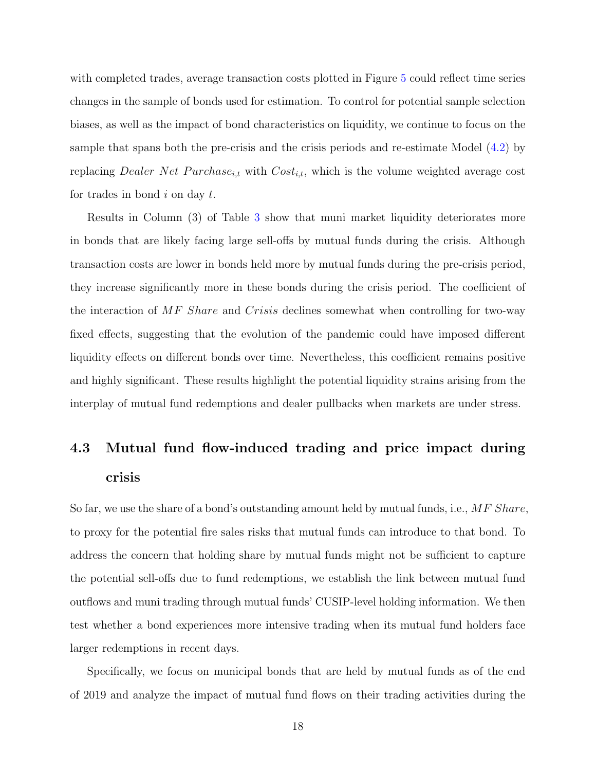with completed trades, average transaction costs plotted in Figure [5](#page-40-0) could reflect time series changes in the sample of bonds used for estimation. To control for potential sample selection biases, as well as the impact of bond characteristics on liquidity, we continue to focus on the sample that spans both the pre-crisis and the crisis periods and re-estimate Model [\(4.2\)](#page-16-0) by replacing Dealer Net Purchase<sub>i,t</sub> with  $Cost_{i,t}$ , which is the volume weighted average cost for trades in bond  $i$  on day  $t$ .

Results in Column (3) of Table [3](#page-44-0) show that muni market liquidity deteriorates more in bonds that are likely facing large sell-offs by mutual funds during the crisis. Although transaction costs are lower in bonds held more by mutual funds during the pre-crisis period, they increase significantly more in these bonds during the crisis period. The coefficient of the interaction of MF Share and Crisis declines somewhat when controlling for two-way fixed effects, suggesting that the evolution of the pandemic could have imposed different liquidity effects on different bonds over time. Nevertheless, this coefficient remains positive and highly significant. These results highlight the potential liquidity strains arising from the interplay of mutual fund redemptions and dealer pullbacks when markets are under stress.

## 4.3 Mutual fund flow-induced trading and price impact during crisis

So far, we use the share of a bond's outstanding amount held by mutual funds, i.e.,  $MF$  Share, to proxy for the potential fire sales risks that mutual funds can introduce to that bond. To address the concern that holding share by mutual funds might not be sufficient to capture the potential sell-offs due to fund redemptions, we establish the link between mutual fund outflows and muni trading through mutual funds' CUSIP-level holding information. We then test whether a bond experiences more intensive trading when its mutual fund holders face larger redemptions in recent days.

Specifically, we focus on municipal bonds that are held by mutual funds as of the end of 2019 and analyze the impact of mutual fund flows on their trading activities during the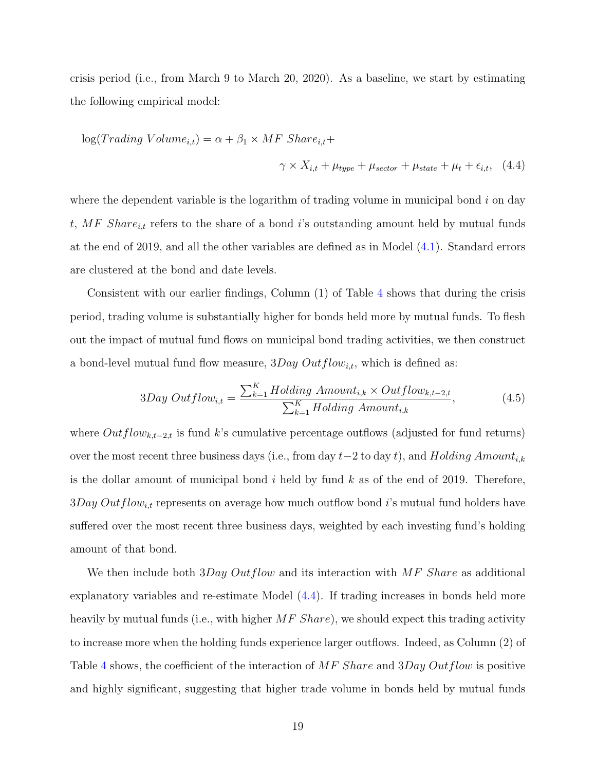crisis period (i.e., from March 9 to March 20, 2020). As a baseline, we start by estimating the following empirical model:

<span id="page-19-0"></span>
$$
log(Trading Volume_{i,t}) = \alpha + \beta_1 \times MF\ Shar{e_{i,t}} +
$$
  

$$
\gamma \times X_{i,t} + \mu_{type} + \mu_{sector} + \mu_{state} + \mu_t + \epsilon_{i,t}, \quad (4.4)
$$

where the dependent variable is the logarithm of trading volume in municipal bond  $i$  on day t, MF Share<sub>i,t</sub> refers to the share of a bond i's outstanding amount held by mutual funds at the end of 2019, and all the other variables are defined as in Model [\(4.1\)](#page-12-2). Standard errors are clustered at the bond and date levels.

Consistent with our earlier findings, Column (1) of Table [4](#page-45-0) shows that during the crisis period, trading volume is substantially higher for bonds held more by mutual funds. To flesh out the impact of mutual fund flows on municipal bond trading activities, we then construct a bond-level mutual fund flow measure,  $3Day Outflow_{i,t}$ , which is defined as:

$$
3Day Outflow_{i,t} = \frac{\sum_{k=1}^{K} Holding\,\,Amount_{i,k} \times Outflow_{k,t-2,t}}{\sum_{k=1}^{K} Holding\,\,Amount_{i,k}},\tag{4.5}
$$

where  $Outflow_{k,t-2,t}$  is fund k's cumulative percentage outflows (adjusted for fund returns) over the most recent three business days (i.e., from day  $t-2$  to day t), and Holding Amount<sub>i,k</sub> is the dollar amount of municipal bond  $i$  held by fund  $k$  as of the end of 2019. Therefore,  $3Day Outflow_{i,t}$  represents on average how much outflow bond i's mutual fund holders have suffered over the most recent three business days, weighted by each investing fund's holding amount of that bond.

We then include both  $3Day Outflow$  and its interaction with  $MF$  Share as additional explanatory variables and re-estimate Model [\(4.4\)](#page-19-0). If trading increases in bonds held more heavily by mutual funds (i.e., with higher  $MF\,Share)$ , we should expect this trading activity to increase more when the holding funds experience larger outflows. Indeed, as Column (2) of Table [4](#page-45-0) shows, the coefficient of the interaction of  $MF$  Share and 3Day Outflow is positive and highly significant, suggesting that higher trade volume in bonds held by mutual funds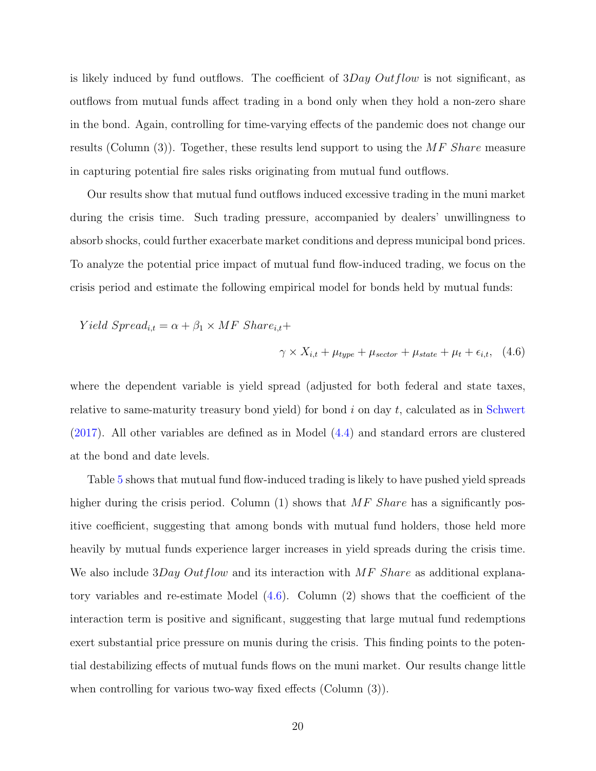is likely induced by fund outflows. The coefficient of  $3Day Outflow$  is not significant, as outflows from mutual funds affect trading in a bond only when they hold a non-zero share in the bond. Again, controlling for time-varying effects of the pandemic does not change our results (Column  $(3)$ ). Together, these results lend support to using the MF Share measure in capturing potential fire sales risks originating from mutual fund outflows.

Our results show that mutual fund outflows induced excessive trading in the muni market during the crisis time. Such trading pressure, accompanied by dealers' unwillingness to absorb shocks, could further exacerbate market conditions and depress municipal bond prices. To analyze the potential price impact of mutual fund flow-induced trading, we focus on the crisis period and estimate the following empirical model for bonds held by mutual funds:

Yield  $Spread_{i,t} = \alpha + \beta_1 \times MF \;Share_{i,t} +$ 

<span id="page-20-0"></span>
$$
\gamma \times X_{i,t} + \mu_{type} + \mu_{sector} + \mu_{state} + \mu_t + \epsilon_{i,t}, \quad (4.6)
$$

where the dependent variable is yield spread (adjusted for both federal and state taxes, relative to same-maturity treasury bond yield) for bond  $i$  on day  $t$ , calculated as in [Schwert](#page-35-9) [\(2017\)](#page-35-9). All other variables are defined as in Model [\(4.4\)](#page-19-0) and standard errors are clustered at the bond and date levels.

Table [5](#page-46-0) shows that mutual fund flow-induced trading is likely to have pushed yield spreads higher during the crisis period. Column  $(1)$  shows that MF Share has a significantly positive coefficient, suggesting that among bonds with mutual fund holders, those held more heavily by mutual funds experience larger increases in yield spreads during the crisis time. We also include 3Day Outflow and its interaction with  $MF$  Share as additional explanatory variables and re-estimate Model [\(4.6\)](#page-20-0). Column (2) shows that the coefficient of the interaction term is positive and significant, suggesting that large mutual fund redemptions exert substantial price pressure on munis during the crisis. This finding points to the potential destabilizing effects of mutual funds flows on the muni market. Our results change little when controlling for various two-way fixed effects (Column (3)).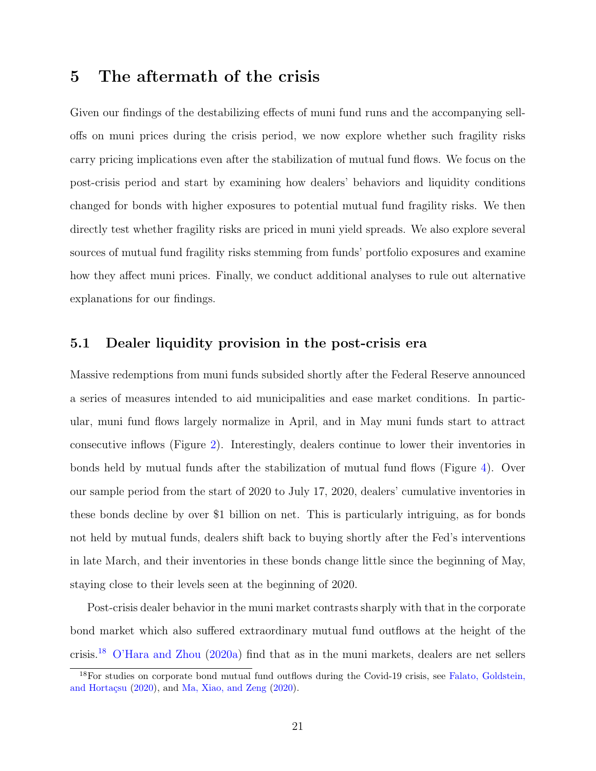### <span id="page-21-0"></span>5 The aftermath of the crisis

Given our findings of the destabilizing effects of muni fund runs and the accompanying selloffs on muni prices during the crisis period, we now explore whether such fragility risks carry pricing implications even after the stabilization of mutual fund flows. We focus on the post-crisis period and start by examining how dealers' behaviors and liquidity conditions changed for bonds with higher exposures to potential mutual fund fragility risks. We then directly test whether fragility risks are priced in muni yield spreads. We also explore several sources of mutual fund fragility risks stemming from funds' portfolio exposures and examine how they affect muni prices. Finally, we conduct additional analyses to rule out alternative explanations for our findings.

#### 5.1 Dealer liquidity provision in the post-crisis era

Massive redemptions from muni funds subsided shortly after the Federal Reserve announced a series of measures intended to aid municipalities and ease market conditions. In particular, muni fund flows largely normalize in April, and in May muni funds start to attract consecutive inflows (Figure [2\)](#page-37-0). Interestingly, dealers continue to lower their inventories in bonds held by mutual funds after the stabilization of mutual fund flows (Figure [4\)](#page-39-0). Over our sample period from the start of 2020 to July 17, 2020, dealers' cumulative inventories in these bonds decline by over \$1 billion on net. This is particularly intriguing, as for bonds not held by mutual funds, dealers shift back to buying shortly after the Fed's interventions in late March, and their inventories in these bonds change little since the beginning of May, staying close to their levels seen at the beginning of 2020.

Post-crisis dealer behavior in the muni market contrasts sharply with that in the corporate bond market which also suffered extraordinary mutual fund outflows at the height of the crisis.[18](#page-21-1) [O'Hara and Zhou](#page-34-0) [\(2020a\)](#page-34-0) find that as in the muni markets, dealers are net sellers

<span id="page-21-1"></span><sup>18</sup>For studies on corporate bond mutual fund outflows during the Covid-19 crisis, see [Falato, Goldstein,](#page-33-1) and Hortaçsu  $(2020)$ , and [Ma, Xiao, and Zeng](#page-34-6)  $(2020)$ .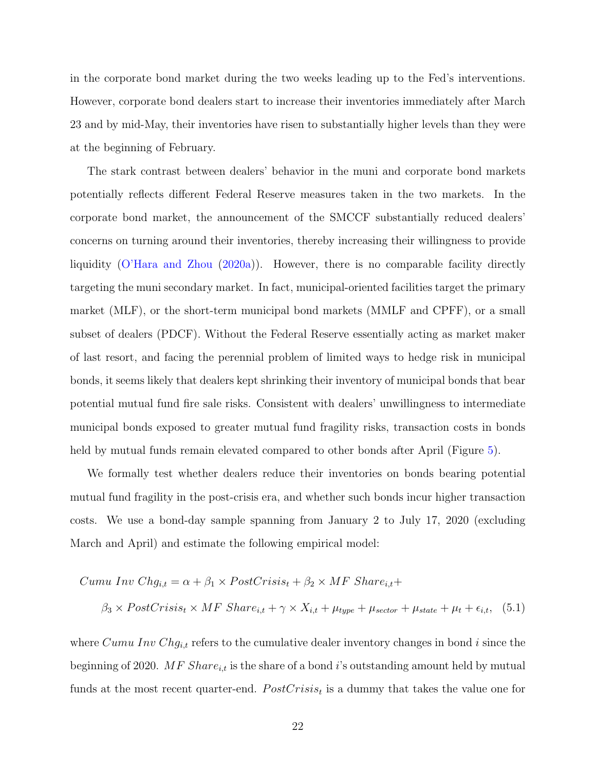in the corporate bond market during the two weeks leading up to the Fed's interventions. However, corporate bond dealers start to increase their inventories immediately after March 23 and by mid-May, their inventories have risen to substantially higher levels than they were at the beginning of February.

The stark contrast between dealers' behavior in the muni and corporate bond markets potentially reflects different Federal Reserve measures taken in the two markets. In the corporate bond market, the announcement of the SMCCF substantially reduced dealers' concerns on turning around their inventories, thereby increasing their willingness to provide liquidity [\(O'Hara and Zhou](#page-34-0) [\(2020a\)](#page-34-0)). However, there is no comparable facility directly targeting the muni secondary market. In fact, municipal-oriented facilities target the primary market (MLF), or the short-term municipal bond markets (MMLF and CPFF), or a small subset of dealers (PDCF). Without the Federal Reserve essentially acting as market maker of last resort, and facing the perennial problem of limited ways to hedge risk in municipal bonds, it seems likely that dealers kept shrinking their inventory of municipal bonds that bear potential mutual fund fire sale risks. Consistent with dealers' unwillingness to intermediate municipal bonds exposed to greater mutual fund fragility risks, transaction costs in bonds held by mutual funds remain elevated compared to other bonds after April (Figure [5\)](#page-40-0).

We formally test whether dealers reduce their inventories on bonds bearing potential mutual fund fragility in the post-crisis era, and whether such bonds incur higher transaction costs. We use a bond-day sample spanning from January 2 to July 17, 2020 (excluding March and April) and estimate the following empirical model:

<span id="page-22-0"></span>
$$
Cumu Inv Chg_{i,t} = \alpha + \beta_1 \times PostCrisis_t + \beta_2 \times MF \,Share_{i,t} +
$$
\n
$$
\beta_3 \times PostCrisis_t \times MF \,Share_{i,t} + \gamma \times X_{i,t} + \mu_{type} + \mu_{sector} + \mu_{state} + \mu_t + \epsilon_{i,t}, \quad (5.1)
$$

where  $Cumu \ Inv \ Chg_{i,t}$  refers to the cumulative dealer inventory changes in bond i since the beginning of 2020. MF  $Share_{i,t}$  is the share of a bond i's outstanding amount held by mutual funds at the most recent quarter-end.  $PostCrisis_t$  is a dummy that takes the value one for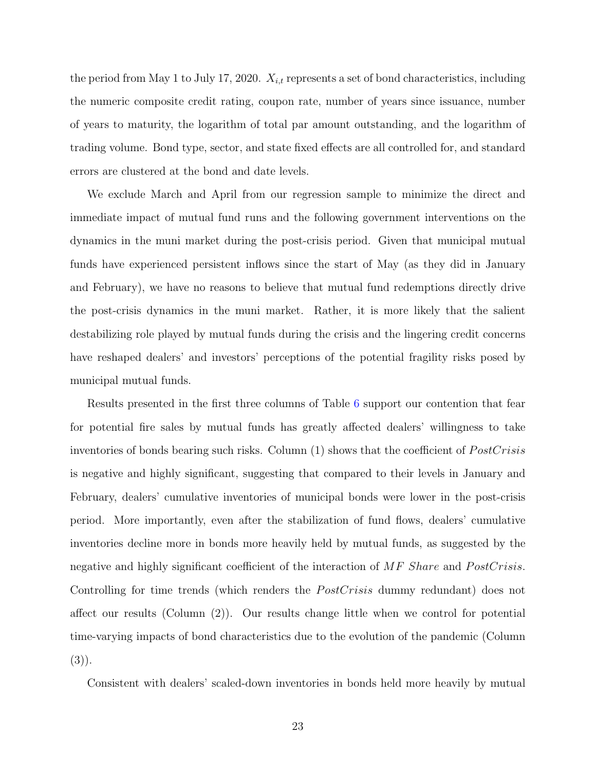the period from May 1 to July 17, 2020.  $X_{i,t}$  represents a set of bond characteristics, including the numeric composite credit rating, coupon rate, number of years since issuance, number of years to maturity, the logarithm of total par amount outstanding, and the logarithm of trading volume. Bond type, sector, and state fixed effects are all controlled for, and standard errors are clustered at the bond and date levels.

We exclude March and April from our regression sample to minimize the direct and immediate impact of mutual fund runs and the following government interventions on the dynamics in the muni market during the post-crisis period. Given that municipal mutual funds have experienced persistent inflows since the start of May (as they did in January and February), we have no reasons to believe that mutual fund redemptions directly drive the post-crisis dynamics in the muni market. Rather, it is more likely that the salient destabilizing role played by mutual funds during the crisis and the lingering credit concerns have reshaped dealers' and investors' perceptions of the potential fragility risks posed by municipal mutual funds.

Results presented in the first three columns of Table [6](#page-47-0) support our contention that fear for potential fire sales by mutual funds has greatly affected dealers' willingness to take inventories of bonds bearing such risks. Column  $(1)$  shows that the coefficient of  $PostCrisis$ is negative and highly significant, suggesting that compared to their levels in January and February, dealers' cumulative inventories of municipal bonds were lower in the post-crisis period. More importantly, even after the stabilization of fund flows, dealers' cumulative inventories decline more in bonds more heavily held by mutual funds, as suggested by the negative and highly significant coefficient of the interaction of  $MF$  Share and  $PostCrisis$ . Controlling for time trends (which renders the  $PostCrisis$  dummy redundant) does not affect our results (Column (2)). Our results change little when we control for potential time-varying impacts of bond characteristics due to the evolution of the pandemic (Column  $(3)$ ).

Consistent with dealers' scaled-down inventories in bonds held more heavily by mutual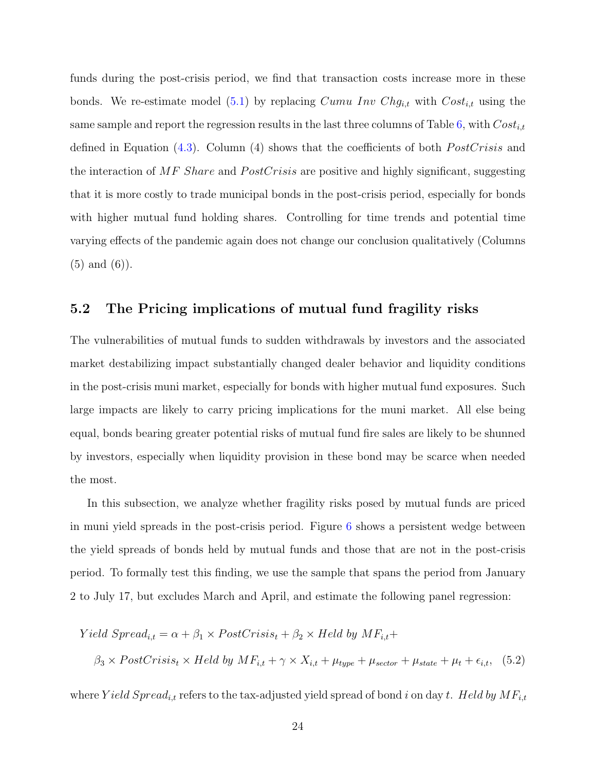funds during the post-crisis period, we find that transaction costs increase more in these bonds. We re-estimate model [\(5.1\)](#page-22-0) by replacing  $Cumu \ Inv \ Chg_{i,t}$  with  $Cost_{i,t}$  using the same sample and report the regression results in the last three columns of Table [6,](#page-47-0) with  $Cost_{i,t}$ defined in Equation  $(4.3)$ . Column  $(4)$  shows that the coefficients of both *PostCrisis* and the interaction of  $MF$  Share and  $PostCrisis$  are positive and highly significant, suggesting that it is more costly to trade municipal bonds in the post-crisis period, especially for bonds with higher mutual fund holding shares. Controlling for time trends and potential time varying effects of the pandemic again does not change our conclusion qualitatively (Columns (5) and (6)).

#### 5.2 The Pricing implications of mutual fund fragility risks

The vulnerabilities of mutual funds to sudden withdrawals by investors and the associated market destabilizing impact substantially changed dealer behavior and liquidity conditions in the post-crisis muni market, especially for bonds with higher mutual fund exposures. Such large impacts are likely to carry pricing implications for the muni market. All else being equal, bonds bearing greater potential risks of mutual fund fire sales are likely to be shunned by investors, especially when liquidity provision in these bond may be scarce when needed the most.

In this subsection, we analyze whether fragility risks posed by mutual funds are priced in muni yield spreads in the post-crisis period. Figure [6](#page-41-0) shows a persistent wedge between the yield spreads of bonds held by mutual funds and those that are not in the post-crisis period. To formally test this finding, we use the sample that spans the period from January 2 to July 17, but excludes March and April, and estimate the following panel regression:

$$
Yield\ Spread_{i,t} = \alpha + \beta_1 \times PostCrisis_t + \beta_2 \times Held\ by\ MF_{i,t} +
$$

<span id="page-24-0"></span> $\beta_3 \times PostCrisis_t \times Held$  by  $MF_{i,t} + \gamma \times X_{i,t} + \mu_{type} + \mu_{sector} + \mu_{state} + \mu_t + \epsilon_{i,t}$ , (5.2)

where Yield  $Spread_{i,t}$  refers to the tax-adjusted yield spread of bond i on day t. Held by  $MF_{i,t}$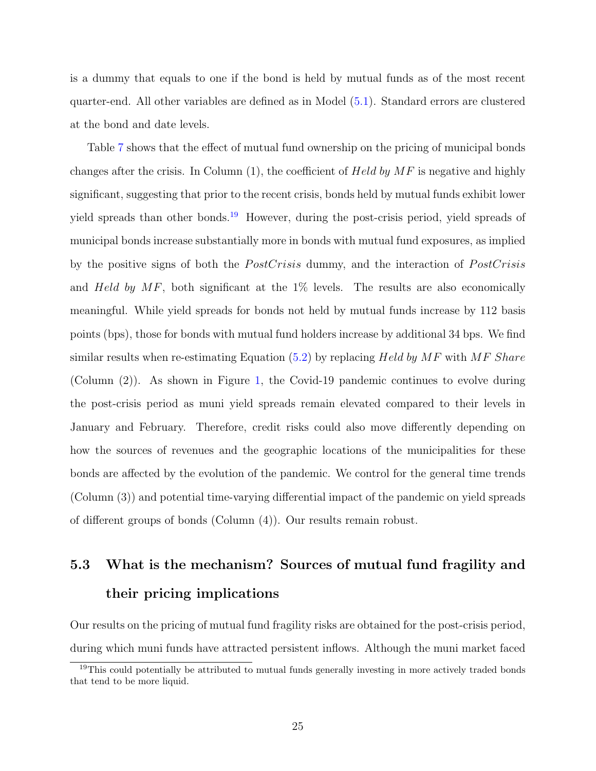is a dummy that equals to one if the bond is held by mutual funds as of the most recent quarter-end. All other variables are defined as in Model [\(5.1\)](#page-22-0). Standard errors are clustered at the bond and date levels.

Table [7](#page-48-0) shows that the effect of mutual fund ownership on the pricing of municipal bonds changes after the crisis. In Column  $(1)$ , the coefficient of Held by MF is negative and highly significant, suggesting that prior to the recent crisis, bonds held by mutual funds exhibit lower yield spreads than other bonds.<sup>[19](#page-25-0)</sup> However, during the post-crisis period, yield spreads of municipal bonds increase substantially more in bonds with mutual fund exposures, as implied by the positive signs of both the *PostCrisis* dummy, and the interaction of *PostCrisis* and Held by  $MF$ , both significant at the 1% levels. The results are also economically meaningful. While yield spreads for bonds not held by mutual funds increase by 112 basis points (bps), those for bonds with mutual fund holders increase by additional 34 bps. We find similar results when re-estimating Equation  $(5.2)$  by replacing Held by MF with MF Share (Column (2)). As shown in Figure [1,](#page-36-0) the Covid-19 pandemic continues to evolve during the post-crisis period as muni yield spreads remain elevated compared to their levels in January and February. Therefore, credit risks could also move differently depending on how the sources of revenues and the geographic locations of the municipalities for these bonds are affected by the evolution of the pandemic. We control for the general time trends (Column (3)) and potential time-varying differential impact of the pandemic on yield spreads of different groups of bonds (Column (4)). Our results remain robust.

## 5.3 What is the mechanism? Sources of mutual fund fragility and their pricing implications

Our results on the pricing of mutual fund fragility risks are obtained for the post-crisis period, during which muni funds have attracted persistent inflows. Although the muni market faced

<span id="page-25-0"></span><sup>19</sup>This could potentially be attributed to mutual funds generally investing in more actively traded bonds that tend to be more liquid.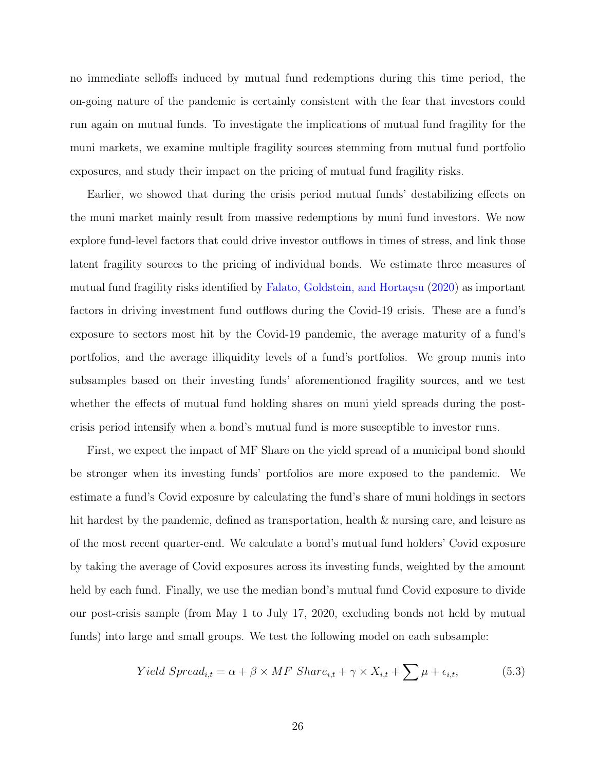no immediate selloffs induced by mutual fund redemptions during this time period, the on-going nature of the pandemic is certainly consistent with the fear that investors could run again on mutual funds. To investigate the implications of mutual fund fragility for the muni markets, we examine multiple fragility sources stemming from mutual fund portfolio exposures, and study their impact on the pricing of mutual fund fragility risks.

Earlier, we showed that during the crisis period mutual funds' destabilizing effects on the muni market mainly result from massive redemptions by muni fund investors. We now explore fund-level factors that could drive investor outflows in times of stress, and link those latent fragility sources to the pricing of individual bonds. We estimate three measures of mutual fund fragility risks identified by Falato, Goldstein, and Hortaçsu  $(2020)$  as important factors in driving investment fund outflows during the Covid-19 crisis. These are a fund's exposure to sectors most hit by the Covid-19 pandemic, the average maturity of a fund's portfolios, and the average illiquidity levels of a fund's portfolios. We group munis into subsamples based on their investing funds' aforementioned fragility sources, and we test whether the effects of mutual fund holding shares on muni yield spreads during the postcrisis period intensify when a bond's mutual fund is more susceptible to investor runs.

First, we expect the impact of MF Share on the yield spread of a municipal bond should be stronger when its investing funds' portfolios are more exposed to the pandemic. We estimate a fund's Covid exposure by calculating the fund's share of muni holdings in sectors hit hardest by the pandemic, defined as transportation, health & nursing care, and leisure as of the most recent quarter-end. We calculate a bond's mutual fund holders' Covid exposure by taking the average of Covid exposures across its investing funds, weighted by the amount held by each fund. Finally, we use the median bond's mutual fund Covid exposure to divide our post-crisis sample (from May 1 to July 17, 2020, excluding bonds not held by mutual funds) into large and small groups. We test the following model on each subsample:

<span id="page-26-0"></span>
$$
Yield\;Spread_{i,t} = \alpha + \beta \times MF\;Share_{i,t} + \gamma \times X_{i,t} + \sum \mu + \epsilon_{i,t},\tag{5.3}
$$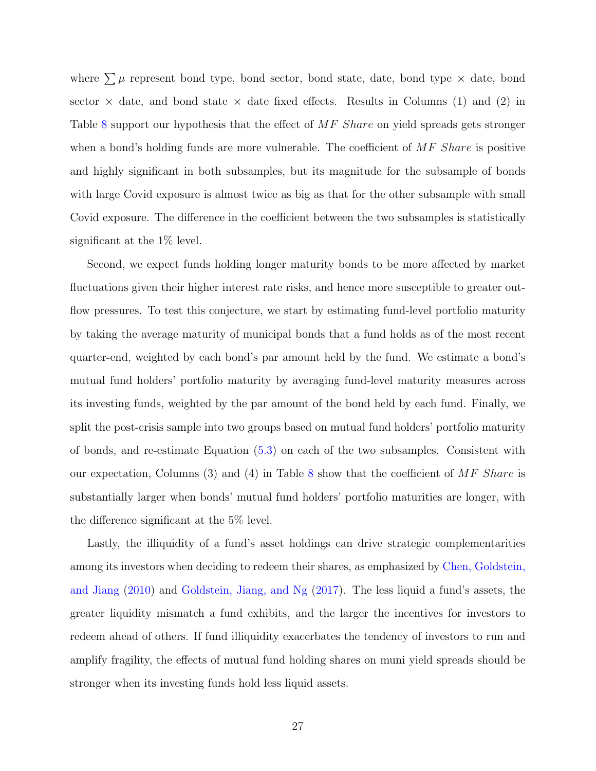where  $\sum \mu$  represent bond type, bond sector, bond state, date, bond type  $\times$  date, bond sector  $\times$  date, and bond state  $\times$  date fixed effects. Results in Columns (1) and (2) in Table [8](#page-49-0) support our hypothesis that the effect of MF Share on yield spreads gets stronger when a bond's holding funds are more vulnerable. The coefficient of  $MF$  Share is positive and highly significant in both subsamples, but its magnitude for the subsample of bonds with large Covid exposure is almost twice as big as that for the other subsample with small Covid exposure. The difference in the coefficient between the two subsamples is statistically significant at the 1% level.

Second, we expect funds holding longer maturity bonds to be more affected by market fluctuations given their higher interest rate risks, and hence more susceptible to greater outflow pressures. To test this conjecture, we start by estimating fund-level portfolio maturity by taking the average maturity of municipal bonds that a fund holds as of the most recent quarter-end, weighted by each bond's par amount held by the fund. We estimate a bond's mutual fund holders' portfolio maturity by averaging fund-level maturity measures across its investing funds, weighted by the par amount of the bond held by each fund. Finally, we split the post-crisis sample into two groups based on mutual fund holders' portfolio maturity of bonds, and re-estimate Equation [\(5.3\)](#page-26-0) on each of the two subsamples. Consistent with our expectation, Columns (3) and (4) in Table [8](#page-49-0) show that the coefficient of  $MF$  Share is substantially larger when bonds' mutual fund holders' portfolio maturities are longer, with the difference significant at the 5% level.

Lastly, the illiquidity of a fund's asset holdings can drive strategic complementarities among its investors when deciding to redeem their shares, as emphasized by [Chen, Goldstein,](#page-32-0) [and Jiang](#page-32-0) [\(2010\)](#page-32-0) and [Goldstein, Jiang, and Ng](#page-33-0) [\(2017\)](#page-33-0). The less liquid a fund's assets, the greater liquidity mismatch a fund exhibits, and the larger the incentives for investors to redeem ahead of others. If fund illiquidity exacerbates the tendency of investors to run and amplify fragility, the effects of mutual fund holding shares on muni yield spreads should be stronger when its investing funds hold less liquid assets.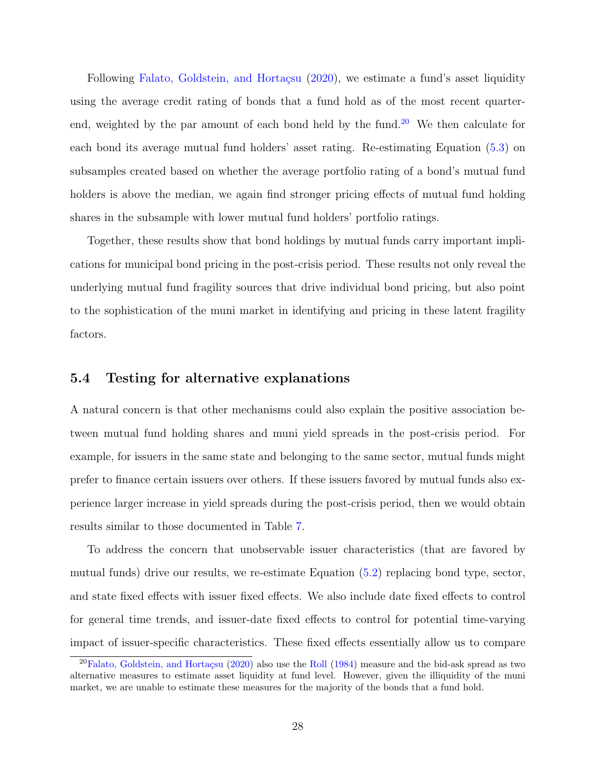Following Falato, Goldstein, and Hortaçsu [\(2020\)](#page-33-1), we estimate a fund's asset liquidity using the average credit rating of bonds that a fund hold as of the most recent quarter-end, weighted by the par amount of each bond held by the fund.<sup>[20](#page-28-0)</sup> We then calculate for each bond its average mutual fund holders' asset rating. Re-estimating Equation [\(5.3\)](#page-26-0) on subsamples created based on whether the average portfolio rating of a bond's mutual fund holders is above the median, we again find stronger pricing effects of mutual fund holding shares in the subsample with lower mutual fund holders' portfolio ratings.

Together, these results show that bond holdings by mutual funds carry important implications for municipal bond pricing in the post-crisis period. These results not only reveal the underlying mutual fund fragility sources that drive individual bond pricing, but also point to the sophistication of the muni market in identifying and pricing in these latent fragility factors.

#### 5.4 Testing for alternative explanations

A natural concern is that other mechanisms could also explain the positive association between mutual fund holding shares and muni yield spreads in the post-crisis period. For example, for issuers in the same state and belonging to the same sector, mutual funds might prefer to finance certain issuers over others. If these issuers favored by mutual funds also experience larger increase in yield spreads during the post-crisis period, then we would obtain results similar to those documented in Table [7.](#page-48-0)

To address the concern that unobservable issuer characteristics (that are favored by mutual funds) drive our results, we re-estimate Equation [\(5.2\)](#page-24-0) replacing bond type, sector, and state fixed effects with issuer fixed effects. We also include date fixed effects to control for general time trends, and issuer-date fixed effects to control for potential time-varying impact of issuer-specific characteristics. These fixed effects essentially allow us to compare

<span id="page-28-0"></span> $^{20}$ Falato, Goldstein, and Hortaçsu [\(2020\)](#page-33-1) also use the [Roll](#page-35-11) [\(1984\)](#page-35-11) measure and the bid-ask spread as two alternative measures to estimate asset liquidity at fund level. However, given the illiquidity of the muni market, we are unable to estimate these measures for the majority of the bonds that a fund hold.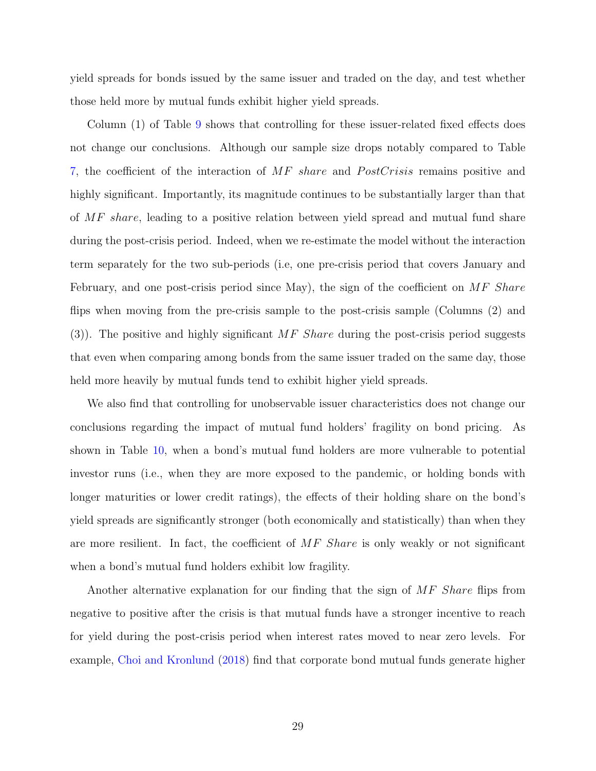yield spreads for bonds issued by the same issuer and traded on the day, and test whether those held more by mutual funds exhibit higher yield spreads.

Column (1) of Table [9](#page-50-0) shows that controlling for these issuer-related fixed effects does not change our conclusions. Although our sample size drops notably compared to Table [7,](#page-48-0) the coefficient of the interaction of MF share and PostCrisis remains positive and highly significant. Importantly, its magnitude continues to be substantially larger than that of MF share, leading to a positive relation between yield spread and mutual fund share during the post-crisis period. Indeed, when we re-estimate the model without the interaction term separately for the two sub-periods (i.e, one pre-crisis period that covers January and February, and one post-crisis period since May), the sign of the coefficient on  $MF$  Share flips when moving from the pre-crisis sample to the post-crisis sample (Columns (2) and (3)). The positive and highly significant  $MF$  Share during the post-crisis period suggests that even when comparing among bonds from the same issuer traded on the same day, those held more heavily by mutual funds tend to exhibit higher yield spreads.

We also find that controlling for unobservable issuer characteristics does not change our conclusions regarding the impact of mutual fund holders' fragility on bond pricing. As shown in Table [10,](#page-51-0) when a bond's mutual fund holders are more vulnerable to potential investor runs (i.e., when they are more exposed to the pandemic, or holding bonds with longer maturities or lower credit ratings), the effects of their holding share on the bond's yield spreads are significantly stronger (both economically and statistically) than when they are more resilient. In fact, the coefficient of  $MF$  Share is only weakly or not significant when a bond's mutual fund holders exhibit low fragility.

Another alternative explanation for our finding that the sign of MF Share flips from negative to positive after the crisis is that mutual funds have a stronger incentive to reach for yield during the post-crisis period when interest rates moved to near zero levels. For example, [Choi and Kronlund](#page-32-12) [\(2018\)](#page-32-12) find that corporate bond mutual funds generate higher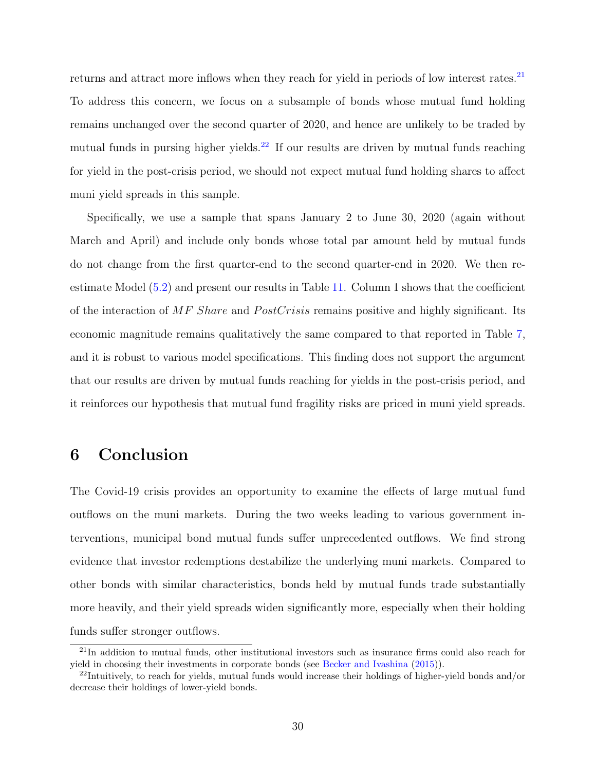returns and attract more inflows when they reach for yield in periods of low interest rates.<sup>[21](#page-30-1)</sup> To address this concern, we focus on a subsample of bonds whose mutual fund holding remains unchanged over the second quarter of 2020, and hence are unlikely to be traded by mutual funds in pursing higher yields.<sup>[22](#page-30-2)</sup> If our results are driven by mutual funds reaching for yield in the post-crisis period, we should not expect mutual fund holding shares to affect muni yield spreads in this sample.

Specifically, we use a sample that spans January 2 to June 30, 2020 (again without March and April) and include only bonds whose total par amount held by mutual funds do not change from the first quarter-end to the second quarter-end in 2020. We then reestimate Model  $(5.2)$  and present our results in Table [11.](#page-52-0) Column 1 shows that the coefficient of the interaction of MF Share and PostCrisis remains positive and highly significant. Its economic magnitude remains qualitatively the same compared to that reported in Table [7,](#page-48-0) and it is robust to various model specifications. This finding does not support the argument that our results are driven by mutual funds reaching for yields in the post-crisis period, and it reinforces our hypothesis that mutual fund fragility risks are priced in muni yield spreads.

## <span id="page-30-0"></span>6 Conclusion

The Covid-19 crisis provides an opportunity to examine the effects of large mutual fund outflows on the muni markets. During the two weeks leading to various government interventions, municipal bond mutual funds suffer unprecedented outflows. We find strong evidence that investor redemptions destabilize the underlying muni markets. Compared to other bonds with similar characteristics, bonds held by mutual funds trade substantially more heavily, and their yield spreads widen significantly more, especially when their holding funds suffer stronger outflows.

<span id="page-30-1"></span><sup>21</sup>In addition to mutual funds, other institutional investors such as insurance firms could also reach for yield in choosing their investments in corporate bonds (see [Becker and Ivashina](#page-32-13) [\(2015\)](#page-32-13)).

<span id="page-30-2"></span> $^{22}$ Intuitively, to reach for yields, mutual funds would increase their holdings of higher-yield bonds and/or decrease their holdings of lower-yield bonds.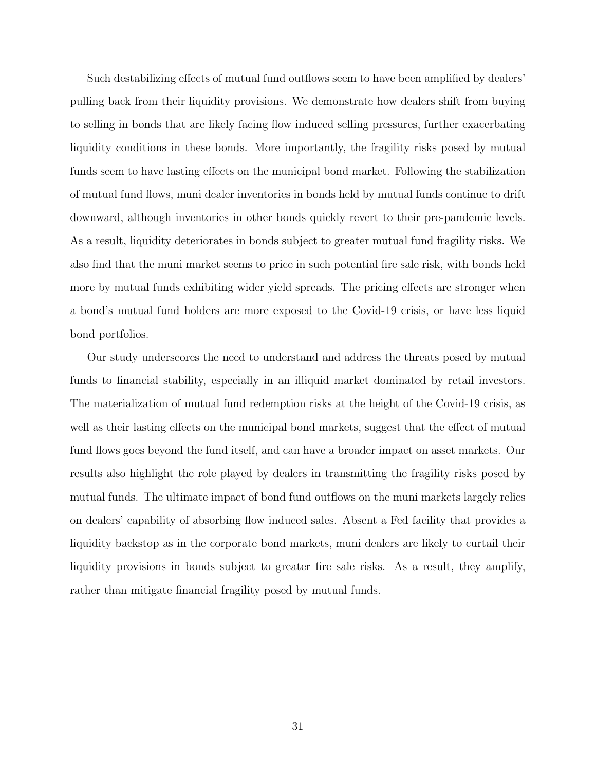Such destabilizing effects of mutual fund outflows seem to have been amplified by dealers' pulling back from their liquidity provisions. We demonstrate how dealers shift from buying to selling in bonds that are likely facing flow induced selling pressures, further exacerbating liquidity conditions in these bonds. More importantly, the fragility risks posed by mutual funds seem to have lasting effects on the municipal bond market. Following the stabilization of mutual fund flows, muni dealer inventories in bonds held by mutual funds continue to drift downward, although inventories in other bonds quickly revert to their pre-pandemic levels. As a result, liquidity deteriorates in bonds subject to greater mutual fund fragility risks. We also find that the muni market seems to price in such potential fire sale risk, with bonds held more by mutual funds exhibiting wider yield spreads. The pricing effects are stronger when a bond's mutual fund holders are more exposed to the Covid-19 crisis, or have less liquid bond portfolios.

Our study underscores the need to understand and address the threats posed by mutual funds to financial stability, especially in an illiquid market dominated by retail investors. The materialization of mutual fund redemption risks at the height of the Covid-19 crisis, as well as their lasting effects on the municipal bond markets, suggest that the effect of mutual fund flows goes beyond the fund itself, and can have a broader impact on asset markets. Our results also highlight the role played by dealers in transmitting the fragility risks posed by mutual funds. The ultimate impact of bond fund outflows on the muni markets largely relies on dealers' capability of absorbing flow induced sales. Absent a Fed facility that provides a liquidity backstop as in the corporate bond markets, muni dealers are likely to curtail their liquidity provisions in bonds subject to greater fire sale risks. As a result, they amplify, rather than mitigate financial fragility posed by mutual funds.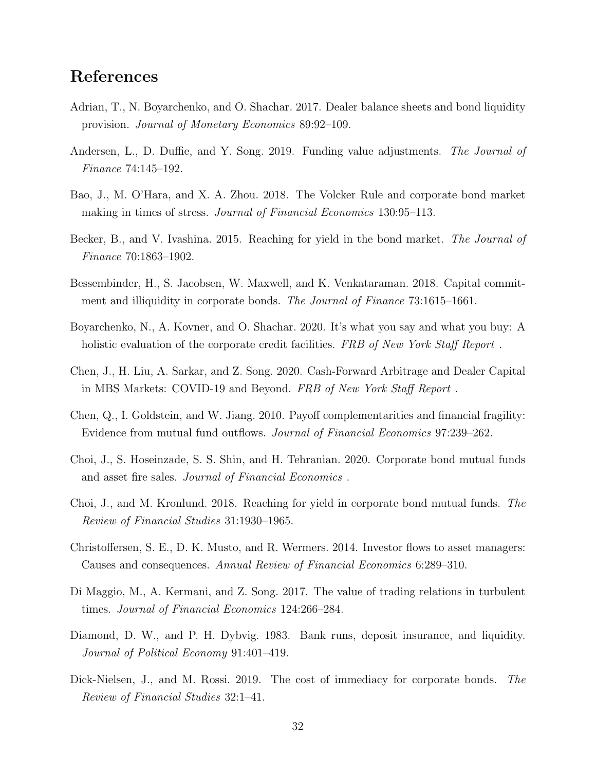## References

- <span id="page-32-5"></span>Adrian, T., N. Boyarchenko, and O. Shachar. 2017. Dealer balance sheets and bond liquidity provision. Journal of Monetary Economics 89:92–109.
- <span id="page-32-4"></span>Andersen, L., D. Duffie, and Y. Song. 2019. Funding value adjustments. The Journal of Finance 74:145–192.
- <span id="page-32-7"></span>Bao, J., M. O'Hara, and X. A. Zhou. 2018. The Volcker Rule and corporate bond market making in times of stress. *Journal of Financial Economics* 130:95–113.
- <span id="page-32-13"></span>Becker, B., and V. Ivashina. 2015. Reaching for yield in the bond market. The Journal of Finance 70:1863–1902.
- <span id="page-32-6"></span>Bessembinder, H., S. Jacobsen, W. Maxwell, and K. Venkataraman. 2018. Capital commitment and illiquidity in corporate bonds. The Journal of Finance 73:1615–1661.
- <span id="page-32-11"></span>Boyarchenko, N., A. Kovner, and O. Shachar. 2020. It's what you say and what you buy: A holistic evaluation of the corporate credit facilities. FRB of New York Staff Report.
- <span id="page-32-8"></span>Chen, J., H. Liu, A. Sarkar, and Z. Song. 2020. Cash-Forward Arbitrage and Dealer Capital in MBS Markets: COVID-19 and Beyond. FRB of New York Staff Report .
- <span id="page-32-0"></span>Chen, Q., I. Goldstein, and W. Jiang. 2010. Payoff complementarities and financial fragility: Evidence from mutual fund outflows. Journal of Financial Economics 97:239–262.
- <span id="page-32-3"></span>Choi, J., S. Hoseinzade, S. S. Shin, and H. Tehranian. 2020. Corporate bond mutual funds and asset fire sales. Journal of Financial Economics .
- <span id="page-32-12"></span>Choi, J., and M. Kronlund. 2018. Reaching for yield in corporate bond mutual funds. The Review of Financial Studies 31:1930–1965.
- <span id="page-32-2"></span>Christoffersen, S. E., D. K. Musto, and R. Wermers. 2014. Investor flows to asset managers: Causes and consequences. Annual Review of Financial Economics 6:289–310.
- <span id="page-32-9"></span>Di Maggio, M., A. Kermani, and Z. Song. 2017. The value of trading relations in turbulent times. Journal of Financial Economics 124:266–284.
- <span id="page-32-1"></span>Diamond, D. W., and P. H. Dybvig. 1983. Bank runs, deposit insurance, and liquidity. Journal of Political Economy 91:401–419.
- <span id="page-32-10"></span>Dick-Nielsen, J., and M. Rossi. 2019. The cost of immediacy for corporate bonds. The Review of Financial Studies 32:1–41.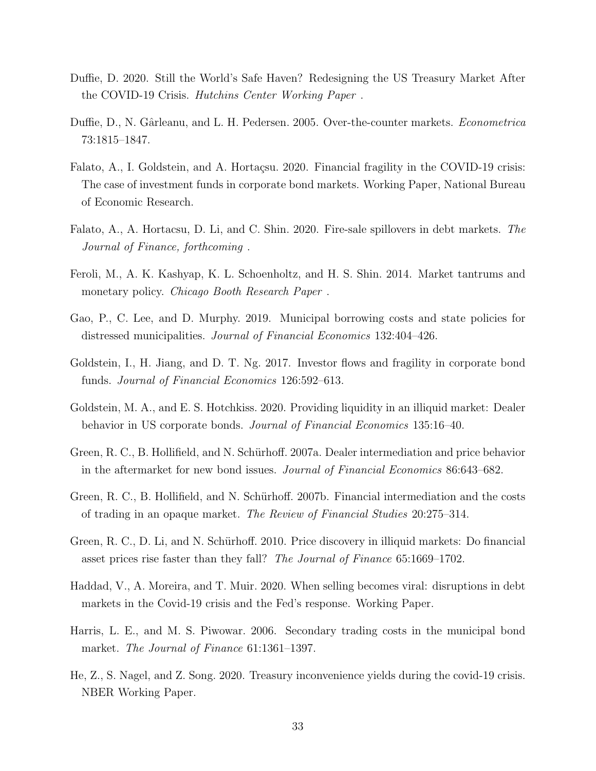- <span id="page-33-12"></span>Duffie, D. 2020. Still the World's Safe Haven? Redesigning the US Treasury Market After the COVID-19 Crisis. Hutchins Center Working Paper .
- <span id="page-33-4"></span>Duffie, D., N. Gârleanu, and L. H. Pedersen. 2005. Over-the-counter markets. *Econometrica* 73:1815–1847.
- <span id="page-33-1"></span>Falato, A., I. Goldstein, and A. Hortaçsu. 2020. Financial fragility in the COVID-19 crisis: The case of investment funds in corporate bond markets. Working Paper, National Bureau of Economic Research.
- <span id="page-33-3"></span>Falato, A., A. Hortacsu, D. Li, and C. Shin. 2020. Fire-sale spillovers in debt markets. The Journal of Finance, forthcoming .
- <span id="page-33-2"></span>Feroli, M., A. K. Kashyap, K. L. Schoenholtz, and H. S. Shin. 2014. Market tantrums and monetary policy. *Chicago Booth Research Paper*.
- <span id="page-33-13"></span>Gao, P., C. Lee, and D. Murphy. 2019. Municipal borrowing costs and state policies for distressed municipalities. Journal of Financial Economics 132:404–426.
- <span id="page-33-0"></span>Goldstein, I., H. Jiang, and D. T. Ng. 2017. Investor flows and fragility in corporate bond funds. Journal of Financial Economics 126:592–613.
- <span id="page-33-5"></span>Goldstein, M. A., and E. S. Hotchkiss. 2020. Providing liquidity in an illiquid market: Dealer behavior in US corporate bonds. Journal of Financial Economics 135:16–40.
- <span id="page-33-8"></span>Green, R. C., B. Hollifield, and N. Schürhoff. 2007a. Dealer intermediation and price behavior in the aftermarket for new bond issues. Journal of Financial Economics 86:643–682.
- <span id="page-33-9"></span>Green, R. C., B. Hollifield, and N. Schürhoff. 2007b. Financial intermediation and the costs of trading in an opaque market. The Review of Financial Studies 20:275–314.
- <span id="page-33-10"></span>Green, R. C., D. Li, and N. Schürhoff. 2010. Price discovery in illiquid markets: Do financial asset prices rise faster than they fall? The Journal of Finance 65:1669–1702.
- <span id="page-33-11"></span>Haddad, V., A. Moreira, and T. Muir. 2020. When selling becomes viral: disruptions in debt markets in the Covid-19 crisis and the Fed's response. Working Paper.
- <span id="page-33-7"></span>Harris, L. E., and M. S. Piwowar. 2006. Secondary trading costs in the municipal bond market. The Journal of Finance 61:1361–1397.
- <span id="page-33-6"></span>He, Z., S. Nagel, and Z. Song. 2020. Treasury inconvenience yields during the covid-19 crisis. NBER Working Paper.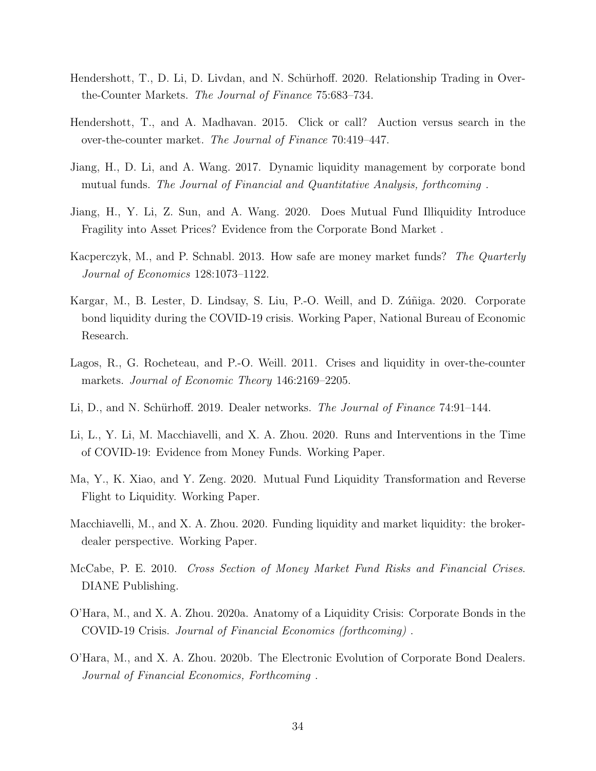- <span id="page-34-8"></span>Hendershott, T., D. Li, D. Livdan, and N. Schürhoff. 2020. Relationship Trading in Overthe-Counter Markets. The Journal of Finance 75:683–734.
- <span id="page-34-13"></span>Hendershott, T., and A. Madhavan. 2015. Click or call? Auction versus search in the over-the-counter market. The Journal of Finance 70:419–447.
- <span id="page-34-5"></span>Jiang, H., D. Li, and A. Wang. 2017. Dynamic liquidity management by corporate bond mutual funds. The Journal of Financial and Quantitative Analysis, forthcoming .
- <span id="page-34-7"></span>Jiang, H., Y. Li, Z. Sun, and A. Wang. 2020. Does Mutual Fund Illiquidity Introduce Fragility into Asset Prices? Evidence from the Corporate Bond Market .
- <span id="page-34-3"></span>Kacperczyk, M., and P. Schnabl. 2013. How safe are money market funds? The Quarterly Journal of Economics 128:1073–1122.
- <span id="page-34-12"></span>Kargar, M., B. Lester, D. Lindsay, S. Liu, P.-O. Weill, and D. Zúñiga. 2020. Corporate bond liquidity during the COVID-19 crisis. Working Paper, National Bureau of Economic Research.
- <span id="page-34-1"></span>Lagos, R., G. Rocheteau, and P.-O. Weill. 2011. Crises and liquidity in over-the-counter markets. Journal of Economic Theory 146:2169–2205.
- <span id="page-34-11"></span>Li, D., and N. Schürhoff. 2019. Dealer networks. The Journal of Finance 74:91–144.
- <span id="page-34-4"></span>Li, L., Y. Li, M. Macchiavelli, and X. A. Zhou. 2020. Runs and Interventions in the Time of COVID-19: Evidence from Money Funds. Working Paper.
- <span id="page-34-6"></span>Ma, Y., K. Xiao, and Y. Zeng. 2020. Mutual Fund Liquidity Transformation and Reverse Flight to Liquidity. Working Paper.
- <span id="page-34-9"></span>Macchiavelli, M., and X. A. Zhou. 2020. Funding liquidity and market liquidity: the brokerdealer perspective. Working Paper.
- <span id="page-34-2"></span>McCabe, P. E. 2010. Cross Section of Money Market Fund Risks and Financial Crises. DIANE Publishing.
- <span id="page-34-0"></span>O'Hara, M., and X. A. Zhou. 2020a. Anatomy of a Liquidity Crisis: Corporate Bonds in the COVID-19 Crisis. Journal of Financial Economics (forthcoming) .
- <span id="page-34-10"></span>O'Hara, M., and X. A. Zhou. 2020b. The Electronic Evolution of Corporate Bond Dealers. Journal of Financial Economics, Forthcoming .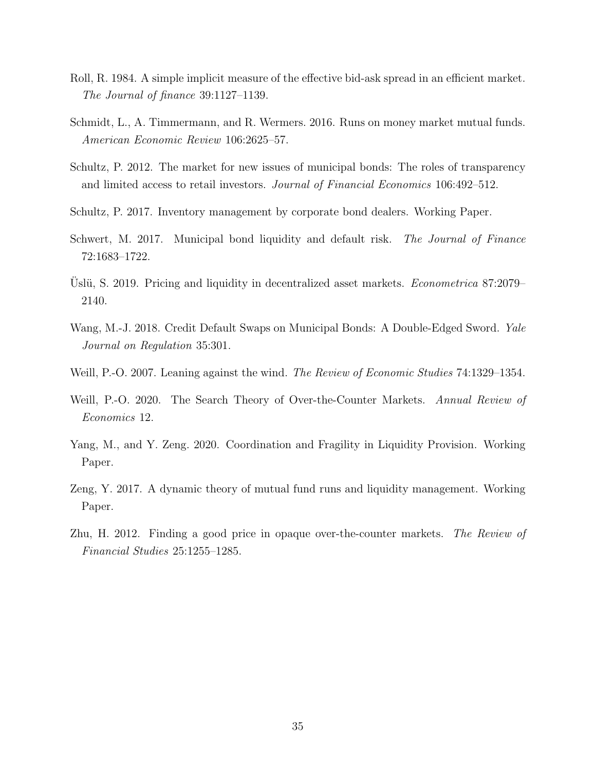- <span id="page-35-11"></span>Roll, R. 1984. A simple implicit measure of the effective bid-ask spread in an efficient market. The Journal of finance 39:1127–1139.
- <span id="page-35-2"></span>Schmidt, L., A. Timmermann, and R. Wermers. 2016. Runs on money market mutual funds. American Economic Review 106:2625–57.
- <span id="page-35-8"></span>Schultz, P. 2012. The market for new issues of municipal bonds: The roles of transparency and limited access to retail investors. Journal of Financial Economics 106:492–512.
- <span id="page-35-7"></span>Schultz, P. 2017. Inventory management by corporate bond dealers. Working Paper.
- <span id="page-35-9"></span>Schwert, M. 2017. Municipal bond liquidity and default risk. The Journal of Finance 72:1683–1722.
- <span id="page-35-3"></span>Uslü, S. 2019. Pricing and liquidity in decentralized asset markets. *Econometrica* 87:2079– 2140.
- <span id="page-35-10"></span>Wang, M.-J. 2018. Credit Default Swaps on Municipal Bonds: A Double-Edged Sword. Yale Journal on Regulation 35:301.
- <span id="page-35-1"></span>Weill, P.-O. 2007. Leaning against the wind. The Review of Economic Studies 74:1329–1354.
- <span id="page-35-6"></span>Weill, P.-O. 2020. The Search Theory of Over-the-Counter Markets. Annual Review of Economics 12.
- <span id="page-35-4"></span>Yang, M., and Y. Zeng. 2020. Coordination and Fragility in Liquidity Provision. Working Paper.
- <span id="page-35-0"></span>Zeng, Y. 2017. A dynamic theory of mutual fund runs and liquidity management. Working Paper.
- <span id="page-35-5"></span>Zhu, H. 2012. Finding a good price in opaque over-the-counter markets. The Review of Financial Studies 25:1255–1285.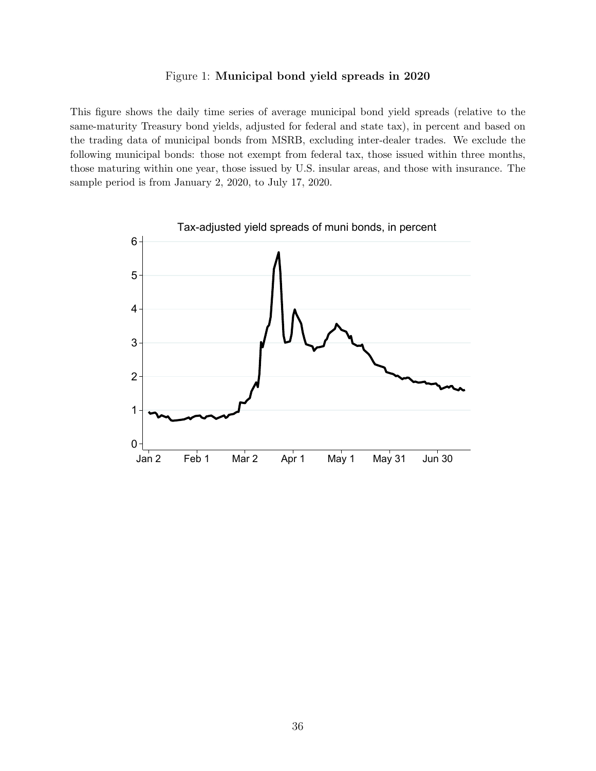#### Figure 1: Municipal bond yield spreads in 2020

<span id="page-36-0"></span>This figure shows the daily time series of average municipal bond yield spreads (relative to the same-maturity Treasury bond yields, adjusted for federal and state tax), in percent and based on the trading data of municipal bonds from MSRB, excluding inter-dealer trades. We exclude the following municipal bonds: those not exempt from federal tax, those issued within three months, those maturing within one year, those issued by U.S. insular areas, and those with insurance. The sample period is from January 2, 2020, to July 17, 2020.

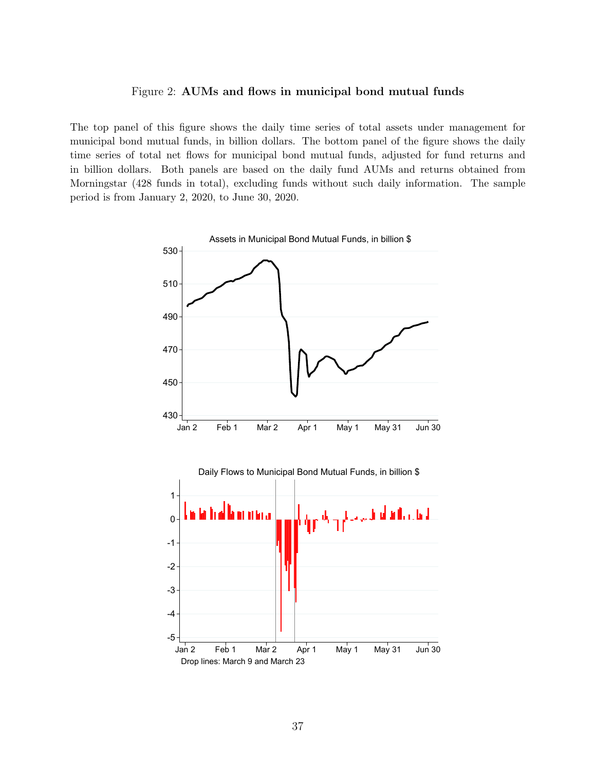#### Figure 2: AUMs and flows in municipal bond mutual funds

<span id="page-37-0"></span>The top panel of this figure shows the daily time series of total assets under management for municipal bond mutual funds, in billion dollars. The bottom panel of the figure shows the daily time series of total net flows for municipal bond mutual funds, adjusted for fund returns and in billion dollars. Both panels are based on the daily fund AUMs and returns obtained from Morningstar (428 funds in total), excluding funds without such daily information. The sample period is from January 2, 2020, to June 30, 2020.

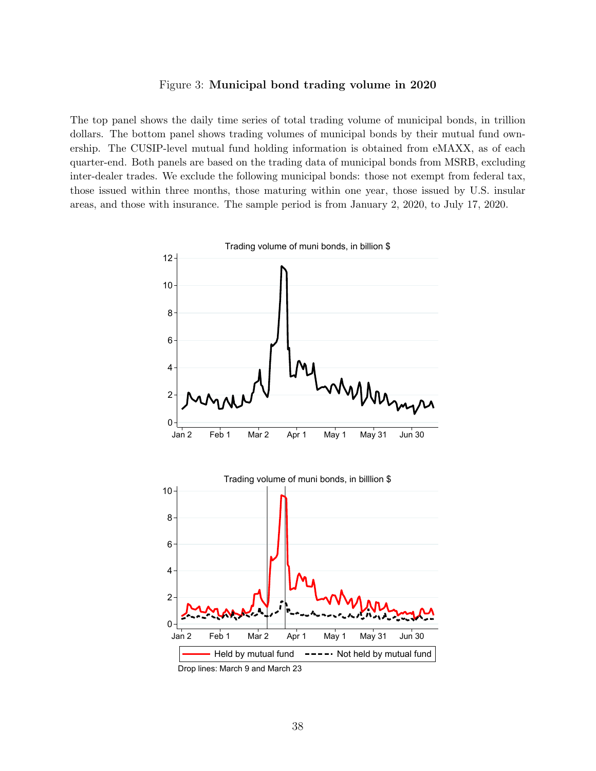#### Figure 3: Municipal bond trading volume in 2020

<span id="page-38-0"></span>The top panel shows the daily time series of total trading volume of municipal bonds, in trillion dollars. The bottom panel shows trading volumes of municipal bonds by their mutual fund ownership. The CUSIP-level mutual fund holding information is obtained from eMAXX, as of each quarter-end. Both panels are based on the trading data of municipal bonds from MSRB, excluding inter-dealer trades. We exclude the following municipal bonds: those not exempt from federal tax, those issued within three months, those maturing within one year, those issued by U.S. insular areas, and those with insurance. The sample period is from January 2, 2020, to July 17, 2020.



Drop lines: March 9 and March 23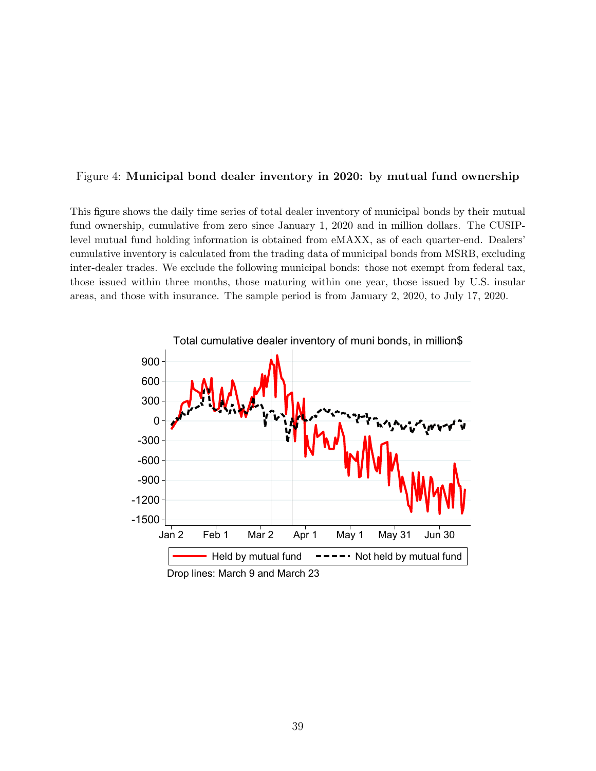#### <span id="page-39-0"></span>Figure 4: Municipal bond dealer inventory in 2020: by mutual fund ownership

This figure shows the daily time series of total dealer inventory of municipal bonds by their mutual fund ownership, cumulative from zero since January 1, 2020 and in million dollars. The CUSIPlevel mutual fund holding information is obtained from eMAXX, as of each quarter-end. Dealers' cumulative inventory is calculated from the trading data of municipal bonds from MSRB, excluding inter-dealer trades. We exclude the following municipal bonds: those not exempt from federal tax, those issued within three months, those maturing within one year, those issued by U.S. insular areas, and those with insurance. The sample period is from January 2, 2020, to July 17, 2020.

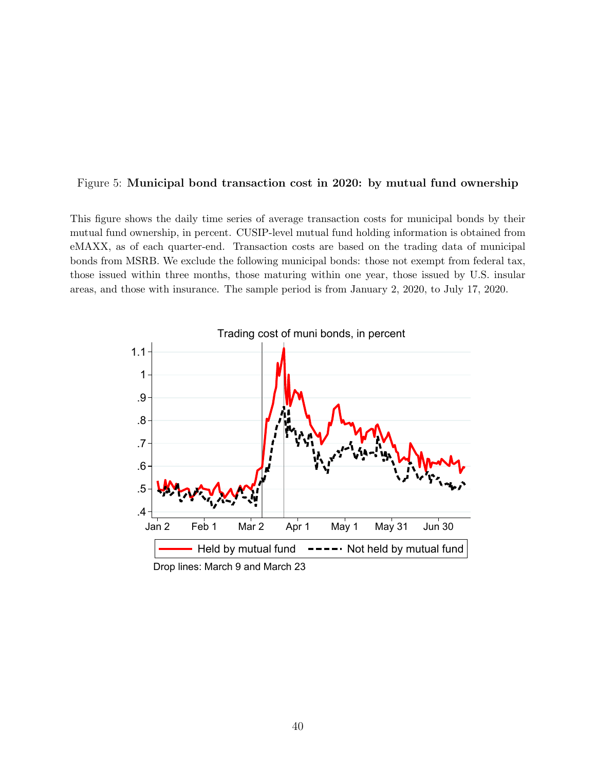#### <span id="page-40-0"></span>Figure 5: Municipal bond transaction cost in 2020: by mutual fund ownership

This figure shows the daily time series of average transaction costs for municipal bonds by their mutual fund ownership, in percent. CUSIP-level mutual fund holding information is obtained from eMAXX, as of each quarter-end. Transaction costs are based on the trading data of municipal bonds from MSRB. We exclude the following municipal bonds: those not exempt from federal tax, those issued within three months, those maturing within one year, those issued by U.S. insular areas, and those with insurance. The sample period is from January 2, 2020, to July 17, 2020.

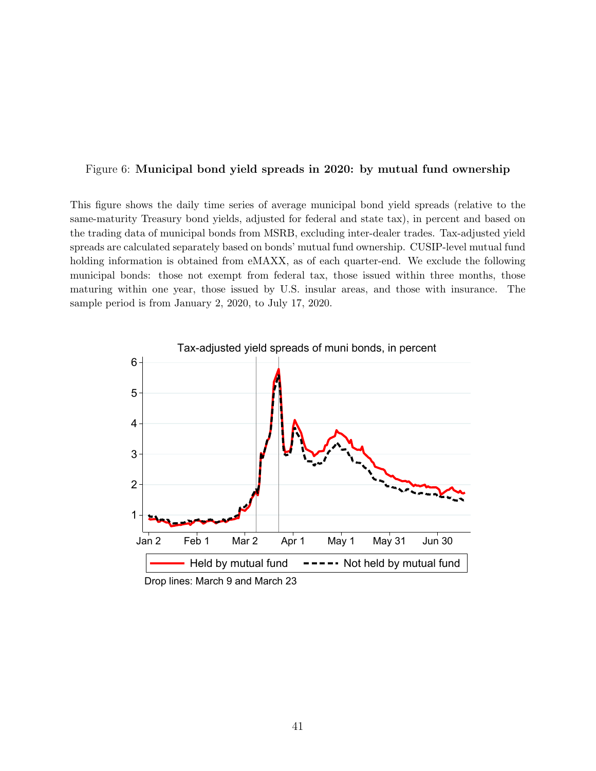#### <span id="page-41-0"></span>Figure 6: Municipal bond yield spreads in 2020: by mutual fund ownership

This figure shows the daily time series of average municipal bond yield spreads (relative to the same-maturity Treasury bond yields, adjusted for federal and state tax), in percent and based on the trading data of municipal bonds from MSRB, excluding inter-dealer trades. Tax-adjusted yield spreads are calculated separately based on bonds' mutual fund ownership. CUSIP-level mutual fund holding information is obtained from eMAXX, as of each quarter-end. We exclude the following municipal bonds: those not exempt from federal tax, those issued within three months, those maturing within one year, those issued by U.S. insular areas, and those with insurance. The sample period is from January 2, 2020, to July 17, 2020.

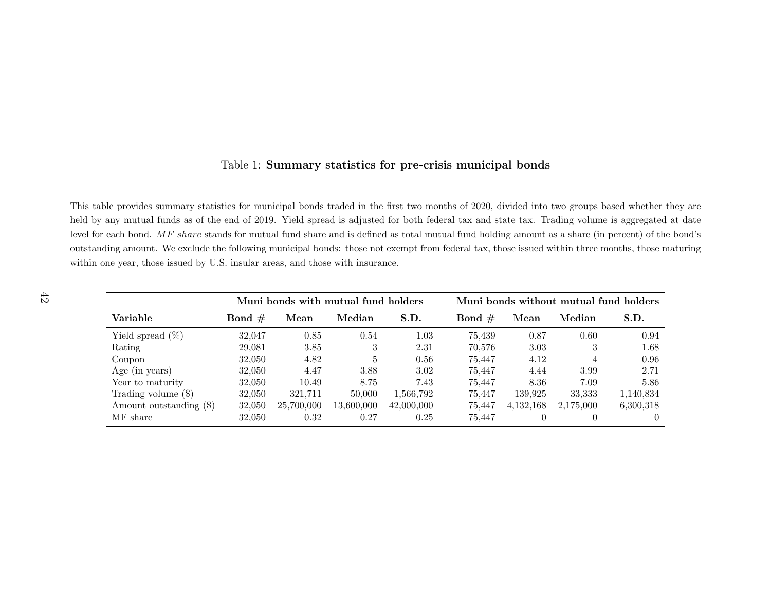#### Table 1: Summary statistics for pre-crisis municipal bonds

<span id="page-42-0"></span>This table provides summary statistics for municipal bonds traded in the first two months of 2020, divided into two groups based whether they are held by any mutual funds as of the end of 2019. Yield spread is adjusted for both federal tax and state tax. Trading volume is aggregated at datelevel for each bond.  $MF share$  stands for mutual fund share and is defined as total mutual fund holding amount as a share (in percent) of the bond's outstanding amount. We exclude the following municipal bonds: those not exempt from federal tax, those issued within three months, those maturingwithin one year, those issued by U.S. insular areas, and those with insurance.

|                         | Muni bonds with mutual fund holders |            |            |            |          | Muni bonds without mutual fund holders |           |           |
|-------------------------|-------------------------------------|------------|------------|------------|----------|----------------------------------------|-----------|-----------|
| Variable                | Bond $#$                            | Mean       | Median     | S.D.       | Bond $#$ | Mean                                   | Median    | S.D.      |
| Yield spread $(\%)$     | 32,047                              | 0.85       | 0.54       | 1.03       | 75.439   | 0.87                                   | 0.60      | 0.94      |
| Rating                  | 29,081                              | 3.85       | 3          | 2.31       | 70.576   | 3.03                                   | 3         | 1.68      |
| Coupon                  | 32,050                              | 4.82       | 5          | 0.56       | 75.447   | 4.12                                   |           | 0.96      |
| Age (in years)          | 32,050                              | 4.47       | 3.88       | 3.02       | 75.447   | 4.44                                   | 3.99      | 2.71      |
| Year to maturity        | 32.050                              | 10.49      | 8.75       | 7.43       | 75.447   | 8.36                                   | 7.09      | 5.86      |
| Trading volume $(\$)$   | 32,050                              | 321.711    | 50,000     | 1,566,792  | 75.447   | 139.925                                | 33,333    | 1,140,834 |
| Amount outstanding (\$) | 32,050                              | 25,700,000 | 13.600.000 | 42,000,000 | 75.447   | 4, 132, 168                            | 2.175,000 | 6,300,318 |
| MF share                | 32,050                              | 0.32       | 0.27       | 0.25       | 75.447   | $\Omega$                               |           |           |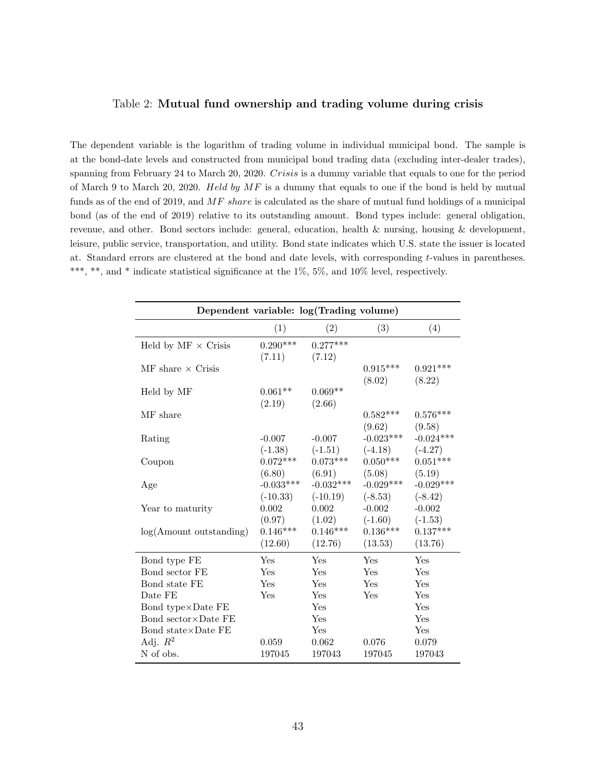#### <span id="page-43-0"></span>Table 2: Mutual fund ownership and trading volume during crisis

The dependent variable is the logarithm of trading volume in individual municipal bond. The sample is at the bond-date levels and constructed from municipal bond trading data (excluding inter-dealer trades), spanning from February 24 to March 20, 2020. Crisis is a dummy variable that equals to one for the period of March 9 to March 20, 2020. Held by  $MF$  is a dummy that equals to one if the bond is held by mutual funds as of the end of 2019, and  $MF share$  is calculated as the share of mutual fund holdings of a municipal bond (as of the end of 2019) relative to its outstanding amount. Bond types include: general obligation, revenue, and other. Bond sectors include: general, education, health & nursing, housing & development, leisure, public service, transportation, and utility. Bond state indicates which U.S. state the issuer is located at. Standard errors are clustered at the bond and date levels, with corresponding t-values in parentheses. \*\*\*, \*\*, and \* indicate statistical significance at the 1%, 5%, and 10% level, respectively.

| Dependent variable: log(Trading volume)      |                                 |                                 |                          |                          |  |  |
|----------------------------------------------|---------------------------------|---------------------------------|--------------------------|--------------------------|--|--|
|                                              | (1)                             | (2)                             | (3)                      | (4)                      |  |  |
| Held by $MF \times$ Crisis                   | $0.290***$<br>(7.11)            | $0.277***$<br>(7.12)            |                          |                          |  |  |
| $\overline{\text{MF}}$ share $\times$ Crisis |                                 |                                 | $0.915***$<br>(8.02)     | $0.921***$<br>(8.22)     |  |  |
| Held by MF                                   | $0.061**$<br>(2.19)             | $0.069**$<br>(2.66)             |                          |                          |  |  |
| MF share                                     |                                 |                                 | $0.582***$<br>(9.62)     | $0.576***$<br>(9.58)     |  |  |
| Rating                                       | $-0.007$<br>$(-1.38)$           | $-0.007$<br>$(-1.51)$           | $-0.023***$<br>$(-4.18)$ | $-0.024***$<br>$(-4.27)$ |  |  |
| Coupon                                       | $0.072***$<br>(6.80)            | $0.073***$<br>(6.91)            | $0.050***$<br>(5.08)     | $0.051***$<br>(5.19)     |  |  |
| Age                                          | $-0.033***$<br>$(-10.33)$       | $-0.032***$<br>$(-10.19)$       | $-0.029***$<br>$(-8.53)$ | $-0.029***$<br>$(-8.42)$ |  |  |
| Year to maturity                             | 0.002                           | 0.002                           | $-0.002$<br>$(-1.60)$    | $-0.002$<br>$(-1.53)$    |  |  |
| $log(A$ mount outstanding)                   | (0.97)<br>$0.146***$<br>(12.60) | (1.02)<br>$0.146***$<br>(12.76) | $0.136***$<br>(13.53)    | $0.137***$<br>(13.76)    |  |  |
| Bond type FE                                 | Yes                             | Yes                             | Yes                      | Yes                      |  |  |
| Bond sector FE                               | Yes                             | Yes                             | Yes                      | Yes                      |  |  |
| Bond state FE                                | Yes                             | Yes                             | Yes                      | Yes                      |  |  |
| Date FE                                      | Yes                             | Yes                             | Yes                      | Yes                      |  |  |
| Bond type×Date FE                            |                                 | Yes                             |                          | Yes                      |  |  |
| Bond sector × Date FE                        |                                 | Yes                             |                          | Yes                      |  |  |
| Bond state $\times$ Date FE                  |                                 | Yes                             |                          | Yes                      |  |  |
| Adj. $R^2$                                   | 0.059                           | 0.062                           | 0.076                    | 0.079                    |  |  |
| N of obs.                                    | 197045                          | 197043                          | 197045                   | 197043                   |  |  |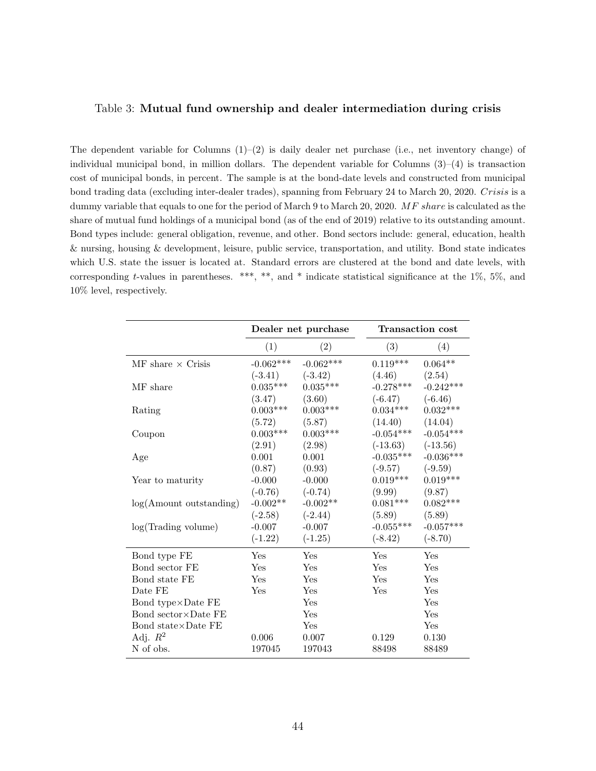#### <span id="page-44-0"></span>Table 3: Mutual fund ownership and dealer intermediation during crisis

The dependent variable for Columns  $(1)-(2)$  is daily dealer net purchase (i.e., net inventory change) of individual municipal bond, in million dollars. The dependent variable for Columns  $(3)-(4)$  is transaction cost of municipal bonds, in percent. The sample is at the bond-date levels and constructed from municipal bond trading data (excluding inter-dealer trades), spanning from February 24 to March 20, 2020. Crisis is a dummy variable that equals to one for the period of March 9 to March 20, 2020. MF share is calculated as the share of mutual fund holdings of a municipal bond (as of the end of 2019) relative to its outstanding amount. Bond types include: general obligation, revenue, and other. Bond sectors include: general, education, health & nursing, housing & development, leisure, public service, transportation, and utility. Bond state indicates which U.S. state the issuer is located at. Standard errors are clustered at the bond and date levels, with corresponding t-values in parentheses. \*\*\*, \*\*, and \* indicate statistical significance at the 1%, 5%, and 10% level, respectively.

|                                              |                 | Dealer net purchase | <b>Transaction cost</b> |                    |  |
|----------------------------------------------|-----------------|---------------------|-------------------------|--------------------|--|
|                                              | (1)             | (2)                 | (3)                     | (4)                |  |
| $\overline{\text{MF}}$ share $\times$ Crisis | $-0.062***$     | $-0.062***$         | $0.119***$              | $0.064^{\ast\ast}$ |  |
|                                              | $(-3.41)$       | $(-3.42)$           | (4.46)                  | (2.54)             |  |
| MF share                                     | $0.035***$      | $0.035***$          | $-0.278***$             | $-0.242***$        |  |
|                                              | (3.47)          | (3.60)              | $(-6.47)$               | $(-6.46)$          |  |
| Rating                                       | $0.003***$      | $0.003***$          | $0.034***$              | $0.032***$         |  |
|                                              | (5.72)          | (5.87)              | (14.40)                 | (14.04)            |  |
| Coupon                                       | $0.003^{***}\,$ | $0.003***$          | $-0.054***$             | $-0.054***$        |  |
|                                              | (2.91)          | (2.98)              | $(-13.63)$              | $(-13.56)$         |  |
| Age                                          | 0.001           | 0.001               | $-0.035***$             | $-0.036***$        |  |
|                                              | (0.87)          | (0.93)              | $(-9.57)$               | $(-9.59)$          |  |
| Year to maturity                             | $-0.000$        | $-0.000$            | $0.019***$              | $0.019***$         |  |
|                                              | $(-0.76)$       | $(-0.74)$           | (9.99)                  | (9.87)             |  |
| $log(A$ mount outstanding)                   | $-0.002**$      | $-0.002**$          | $0.081***$              | $0.082***$         |  |
|                                              | $(-2.58)$       | $(-2.44)$           | (5.89)                  | (5.89)             |  |
| log(Trading volume)                          | $-0.007$        | $-0.007$            | $-0.055***$             | $-0.057***$        |  |
|                                              | $(-1.22)$       | $(-1.25)$           | $(-8.42)$               | $(-8.70)$          |  |
| Bond type FE                                 | Yes             | Yes                 | Yes                     | Yes                |  |
| Bond sector FE                               | Yes             | Yes                 | Yes                     | Yes                |  |
| Bond state FE                                | Yes             | Yes                 | Yes                     | Yes                |  |
| Date FE                                      | Yes             | Yes                 | Yes                     | Yes                |  |
| Bond type×Date FE                            |                 | Yes                 |                         | Yes                |  |
| Bond sector $\times$ Date FE                 |                 | Yes                 |                         | Yes                |  |
| Bond state $\times$ Date FE                  |                 | Yes                 |                         | Yes                |  |
| Adj. $R^2$                                   | 0.006           | 0.007               | 0.129                   | 0.130              |  |
| N of obs.                                    | 197045          | 197043              | 88498                   | 88489              |  |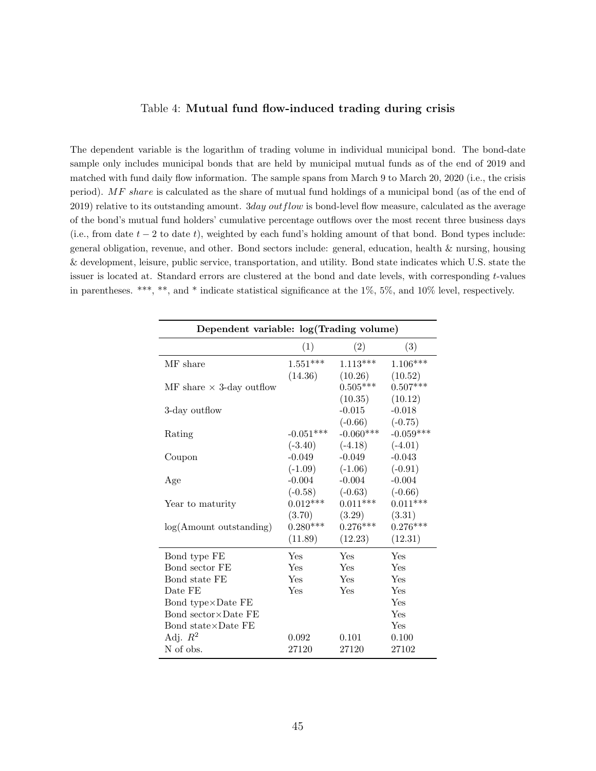#### Table 4: Mutual fund flow-induced trading during crisis

<span id="page-45-0"></span>The dependent variable is the logarithm of trading volume in individual municipal bond. The bond-date sample only includes municipal bonds that are held by municipal mutual funds as of the end of 2019 and matched with fund daily flow information. The sample spans from March 9 to March 20, 2020 (i.e., the crisis period). MF share is calculated as the share of mutual fund holdings of a municipal bond (as of the end of  $2019$ ) relative to its outstanding amount.  $3day outflow$  is bond-level flow measure, calculated as the average of the bond's mutual fund holders' cumulative percentage outflows over the most recent three business days (i.e., from date  $t - 2$  to date t), weighted by each fund's holding amount of that bond. Bond types include: general obligation, revenue, and other. Bond sectors include: general, education, health & nursing, housing & development, leisure, public service, transportation, and utility. Bond state indicates which U.S. state the issuer is located at. Standard errors are clustered at the bond and date levels, with corresponding t-values in parentheses. \*\*\*, \*\*, and \* indicate statistical significance at the 1%, 5%, and 10% level, respectively.

| Dependent variable: log(Trading volume) |             |             |             |  |  |  |
|-----------------------------------------|-------------|-------------|-------------|--|--|--|
|                                         | (1)         | (2)         | (3)         |  |  |  |
| MF share                                | $1.551***$  | $1.113***$  | $1.106***$  |  |  |  |
|                                         | (14.36)     | (10.26)     | (10.52)     |  |  |  |
| MF share $\times$ 3-day outflow         |             | $0.505***$  | $0.507***$  |  |  |  |
|                                         |             | (10.35)     | (10.12)     |  |  |  |
| 3-day outflow                           |             | $-0.015$    | $-0.018$    |  |  |  |
|                                         |             | $(-0.66)$   | $(-0.75)$   |  |  |  |
| Rating                                  | $-0.051***$ | $-0.060***$ | $-0.059***$ |  |  |  |
|                                         | $(-3.40)$   | $(-4.18)$   | $(-4.01)$   |  |  |  |
| Coupon                                  | $-0.049$    | $-0.049$    | $-0.043$    |  |  |  |
|                                         | $(-1.09)$   | $(-1.06)$   | $(-0.91)$   |  |  |  |
| Age                                     | $-0.004$    | $-0.004$    | $-0.004$    |  |  |  |
|                                         | $(-0.58)$   | $(-0.63)$   | $(-0.66)$   |  |  |  |
| Year to maturity                        | $0.012***$  | $0.011***$  | $0.011***$  |  |  |  |
|                                         | (3.70)      | (3.29)      | (3.31)      |  |  |  |
| $log(A$ mount outstanding)              | $0.280***$  | $0.276***$  | $0.276***$  |  |  |  |
|                                         | (11.89)     | (12.23)     | (12.31)     |  |  |  |
| Bond type FE                            | Yes         | Yes         | Yes         |  |  |  |
| Bond sector FE                          | <b>Yes</b>  | Yes         | Yes         |  |  |  |
| Bond state FE                           | Yes         | Yes         | Yes         |  |  |  |
| Date FE                                 | Yes         | Yes         | Yes         |  |  |  |
| Bond type $\times$ Date FE              |             |             | Yes         |  |  |  |
| Bond sector × Date FE                   |             |             | Yes         |  |  |  |
| Bond state $\times$ Date FE             |             |             | Yes         |  |  |  |
| Adj. $R^2$                              | 0.092       | 0.101       | 0.100       |  |  |  |
| N of obs.                               | 27120       | 27120       | 27102       |  |  |  |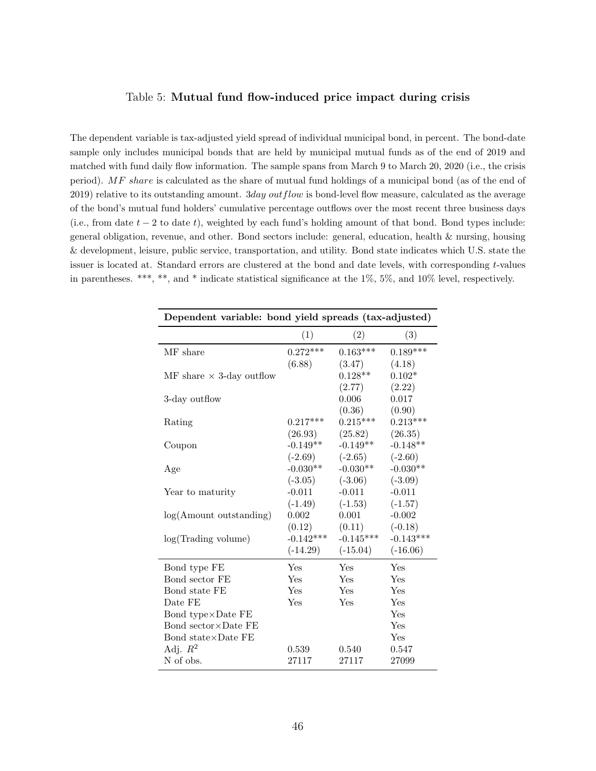#### Table 5: Mutual fund flow-induced price impact during crisis

<span id="page-46-0"></span>The dependent variable is tax-adjusted yield spread of individual municipal bond, in percent. The bond-date sample only includes municipal bonds that are held by municipal mutual funds as of the end of 2019 and matched with fund daily flow information. The sample spans from March 9 to March 20, 2020 (i.e., the crisis period). MF share is calculated as the share of mutual fund holdings of a municipal bond (as of the end of 2019) relative to its outstanding amount. 3day out flow is bond-level flow measure, calculated as the average of the bond's mutual fund holders' cumulative percentage outflows over the most recent three business days (i.e., from date  $t - 2$  to date t), weighted by each fund's holding amount of that bond. Bond types include: general obligation, revenue, and other. Bond sectors include: general, education, health & nursing, housing & development, leisure, public service, transportation, and utility. Bond state indicates which U.S. state the issuer is located at. Standard errors are clustered at the bond and date levels, with corresponding t-values in parentheses. \*\*\*, \*\*, and \* indicate statistical significance at the 1%, 5%, and 10% level, respectively.

| Dependent variable: bond yield spreads (tax-adjusted) |             |             |             |  |  |  |
|-------------------------------------------------------|-------------|-------------|-------------|--|--|--|
|                                                       | (1)         | (2)         | (3)         |  |  |  |
| MF share                                              | $0.272***$  | $0.163***$  | $0.189***$  |  |  |  |
|                                                       | (6.88)      | (3.47)      | (4.18)      |  |  |  |
| MF share $\times$ 3-day outflow                       |             | $0.128**$   | $0.102*$    |  |  |  |
|                                                       |             | (2.77)      | (2.22)      |  |  |  |
| 3-day outflow                                         |             | 0.006       | 0.017       |  |  |  |
|                                                       |             | (0.36)      | (0.90)      |  |  |  |
| Rating                                                | $0.217***$  | $0.215***$  | $0.213***$  |  |  |  |
|                                                       | (26.93)     | (25.82)     | (26.35)     |  |  |  |
| Coupon                                                | $-0.149**$  | $-0.149**$  | $-0.148**$  |  |  |  |
|                                                       | $(-2.69)$   | $(-2.65)$   | $(-2.60)$   |  |  |  |
| Age                                                   | $-0.030**$  | $-0.030**$  | $-0.030**$  |  |  |  |
|                                                       | $(-3.05)$   | $(-3.06)$   | $(-3.09)$   |  |  |  |
| Year to maturity                                      | $-0.011$    | $-0.011$    | $-0.011$    |  |  |  |
|                                                       | $(-1.49)$   | $(-1.53)$   | $(-1.57)$   |  |  |  |
| $log(A$ mount outstanding)                            | 0.002       | 0.001       | $-0.002$    |  |  |  |
|                                                       | (0.12)      | (0.11)      | $(-0.18)$   |  |  |  |
| log(Trading volume)                                   | $-0.142***$ | $-0.145***$ | $-0.143***$ |  |  |  |
|                                                       | $(-14.29)$  | $(-15.04)$  | $(-16.06)$  |  |  |  |
| Bond type FE                                          | Yes         | Yes         | Yes         |  |  |  |
| Bond sector FE                                        | Yes         | Yes         | Yes         |  |  |  |
| Bond state FE                                         | Yes         | Yes         | Yes         |  |  |  |
| Date FE                                               | Yes         | Yes         | Yes         |  |  |  |
| Bond type×Date FE                                     |             |             | Yes         |  |  |  |
| Bond sector $\times$ Date FE                          |             |             | Yes         |  |  |  |
| Bond state $\times$ Date FE                           |             |             | Yes         |  |  |  |
| Adj. $R^2$                                            | 0.539       | 0.540       | 0.547       |  |  |  |
| N of obs.                                             | 27117       | 27117       | 27099       |  |  |  |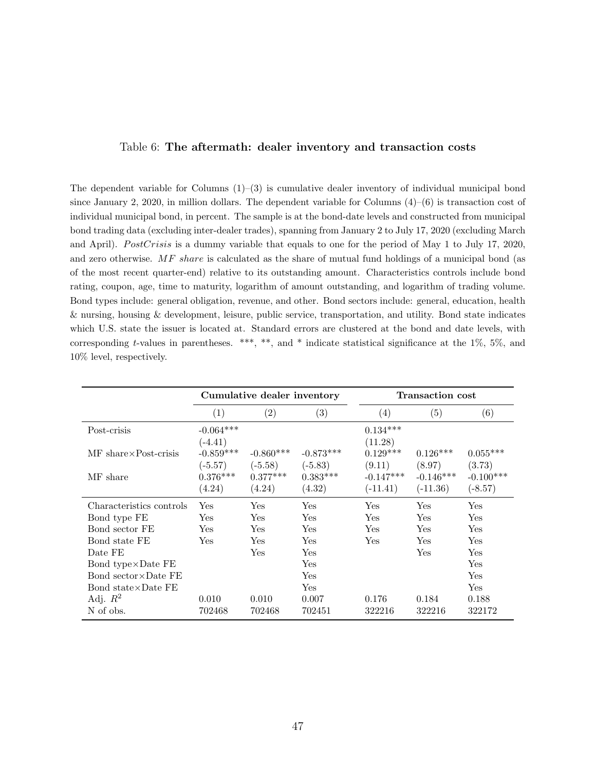#### Table 6: The aftermath: dealer inventory and transaction costs

<span id="page-47-0"></span>The dependent variable for Columns  $(1)$ – $(3)$  is cumulative dealer inventory of individual municipal bond since January 2, 2020, in million dollars. The dependent variable for Columns  $(4)$ – $(6)$  is transaction cost of individual municipal bond, in percent. The sample is at the bond-date levels and constructed from municipal bond trading data (excluding inter-dealer trades), spanning from January 2 to July 17, 2020 (excluding March and April). PostCrisis is a dummy variable that equals to one for the period of May 1 to July 17, 2020, and zero otherwise. MF share is calculated as the share of mutual fund holdings of a municipal bond (as of the most recent quarter-end) relative to its outstanding amount. Characteristics controls include bond rating, coupon, age, time to maturity, logarithm of amount outstanding, and logarithm of trading volume. Bond types include: general obligation, revenue, and other. Bond sectors include: general, education, health & nursing, housing & development, leisure, public service, transportation, and utility. Bond state indicates which U.S. state the issuer is located at. Standard errors are clustered at the bond and date levels, with corresponding t-values in parentheses. \*\*\*, \*\*, and \* indicate statistical significance at the  $1\%$ ,  $5\%$ , and 10% level, respectively.

|                              | Cumulative dealer inventory |             |             |                   | <b>Transaction cost</b> |             |
|------------------------------|-----------------------------|-------------|-------------|-------------------|-------------------------|-------------|
|                              | (1)                         | (2)         | (3)         | $\left( 4\right)$ | (5)                     | (6)         |
| Post-crisis                  | $-0.064***$                 |             |             | $0.134***$        |                         |             |
|                              | $(-4.41)$                   |             |             | (11.28)           |                         |             |
| MF share×Post-crisis         | $-0.859***$                 | $-0.860***$ | $-0.873***$ | $0.129***$        | $0.126***$              | $0.055***$  |
|                              | $(-5.57)$                   | $(-5.58)$   | $(-5.83)$   | (9.11)            | (8.97)                  | (3.73)      |
| MF share                     | $0.376***$                  | $0.377***$  | $0.383***$  | $-0.147***$       | $-0.146***$             | $-0.100***$ |
|                              | (4.24)                      | (4.24)      | (4.32)      | $(-11.41)$        | $(-11.36)$              | $(-8.57)$   |
| Characteristics controls     | Yes                         | Yes         | Yes         | Yes               | Yes                     | Yes         |
| Bond type FE                 | Yes                         | Yes         | Yes         | Yes               | Yes                     | Yes         |
| Bond sector FE               | Yes                         | Yes         | Yes         | Yes               | Yes                     | Yes         |
| Bond state FE                | <b>Yes</b>                  | Yes         | <b>Yes</b>  | Yes               | Yes                     | Yes         |
| Date FE                      |                             | Yes         | Yes         |                   | Yes                     | Yes         |
| Bond type $\times$ Date FE   |                             |             | Yes         |                   |                         | Yes         |
| Bond sector $\times$ Date FE |                             |             | Yes         |                   |                         | Yes         |
| Bond state×Date FE           |                             |             | <b>Yes</b>  |                   |                         | Yes         |
| Adj. $R^2$                   | 0.010                       | 0.010       | 0.007       | 0.176             | 0.184                   | 0.188       |
| N of obs.                    | 702468                      | 702468      | 702451      | 322216            | 322216                  | 322172      |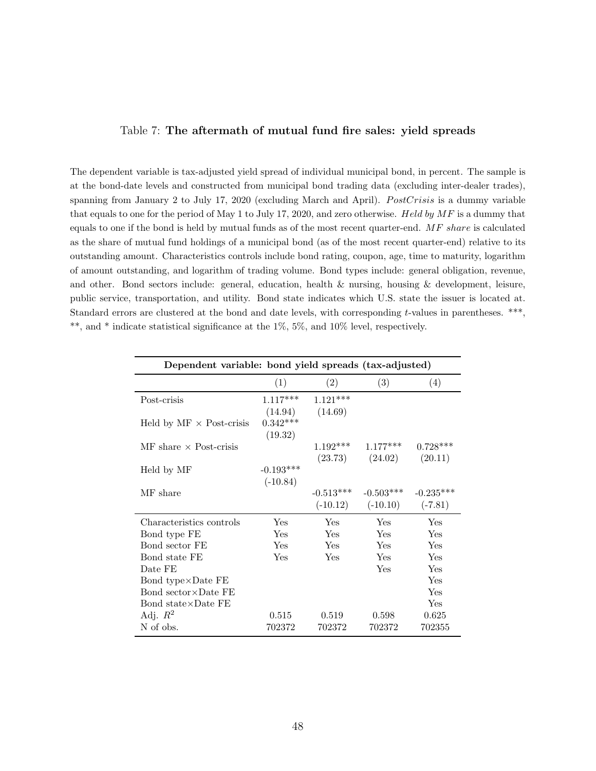#### <span id="page-48-0"></span>Table 7: The aftermath of mutual fund fire sales: yield spreads

The dependent variable is tax-adjusted yield spread of individual municipal bond, in percent. The sample is at the bond-date levels and constructed from municipal bond trading data (excluding inter-dealer trades), spanning from January 2 to July 17, 2020 (excluding March and April). *PostCrisis* is a dummy variable that equals to one for the period of May 1 to July 17, 2020, and zero otherwise. Held by  $MF$  is a dummy that equals to one if the bond is held by mutual funds as of the most recent quarter-end. MF share is calculated as the share of mutual fund holdings of a municipal bond (as of the most recent quarter-end) relative to its outstanding amount. Characteristics controls include bond rating, coupon, age, time to maturity, logarithm of amount outstanding, and logarithm of trading volume. Bond types include: general obligation, revenue, and other. Bond sectors include: general, education, health & nursing, housing & development, leisure, public service, transportation, and utility. Bond state indicates which U.S. state the issuer is located at. Standard errors are clustered at the bond and date levels, with corresponding t-values in parentheses. \*\*\*, \*\*, and \* indicate statistical significance at the 1%, 5%, and 10% level, respectively.

| Dependent variable: bond yield spreads (tax-adjusted) |             |             |                     |             |  |  |
|-------------------------------------------------------|-------------|-------------|---------------------|-------------|--|--|
|                                                       | (1)         | (2)         | (3)                 | (4)         |  |  |
| Post-crisis                                           | $1.117***$  | $1.121***$  |                     |             |  |  |
|                                                       | (14.94)     | (14.69)     |                     |             |  |  |
| Held by $MF \times Post-crisis$                       | $0.342***$  |             |                     |             |  |  |
|                                                       | (19.32)     |             |                     |             |  |  |
| $\overline{\text{MF}}$ share $\times$ Post-crisis     |             | $1.192***$  | $1.177***$          | $0.728***$  |  |  |
|                                                       |             |             | $(23.73)$ $(24.02)$ | (20.11)     |  |  |
| Held by MF                                            | $-0.193***$ |             |                     |             |  |  |
|                                                       | $(-10.84)$  |             |                     |             |  |  |
| MF share                                              |             | $-0.513***$ | $-0.503***$         | $-0.235***$ |  |  |
|                                                       |             | $(-10.12)$  | $(-10.10)$          | $(-7.81)$   |  |  |
| Characteristics controls                              | Yes         | Yes         | Yes                 | Yes         |  |  |
| Bond type FE                                          | Yes         | Yes         | Yes                 | Yes         |  |  |
| Bond sector FE                                        | Yes         | Yes         | Yes                 | Yes         |  |  |
| Bond state FE                                         | Yes         | Yes         | Yes                 | Yes         |  |  |
| Date FE                                               |             |             | Yes                 | Yes         |  |  |
| Bond type $\times$ Date FE                            |             |             |                     | Yes         |  |  |
| Bond sector $\times$ Date FE                          |             |             |                     | Yes         |  |  |
| Bond state $\times$ Date FE                           |             |             |                     | Yes         |  |  |
| Adj. $R^2$                                            | 0.515       | 0.519       | 0.598               | 0.625       |  |  |
| N of obs.                                             | 702372      | 702372      | 702372              | 702355      |  |  |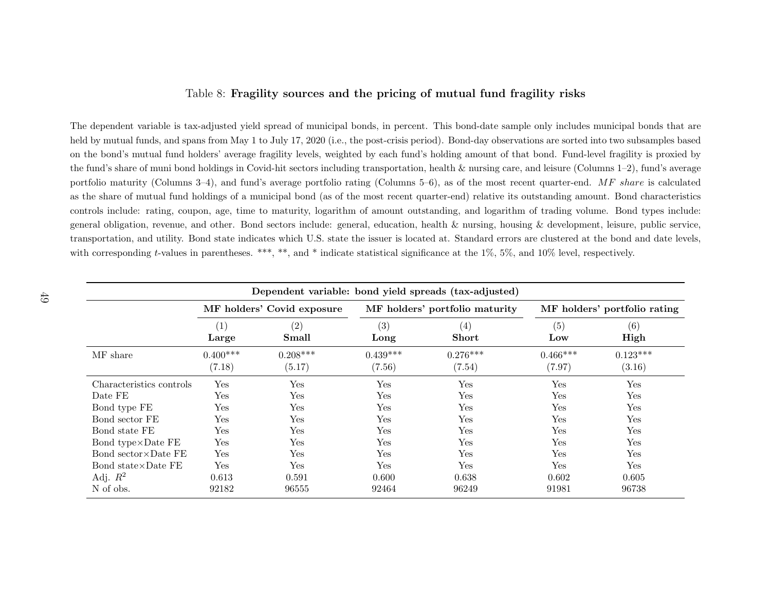#### Table 8: Fragility sources and the pricing of mutual fund fragility risks

The dependent variable is tax-adjusted <sup>y</sup>ield spread of municipal bonds, in percent. This bond-date sample only includes municipal bonds that areheld by mutual funds, and spans from May 1 to July 17, 2020 (i.e., the post-crisis period). Bond-day observations are sorted into two subsamples based on the bond's mutual fund holders' average fragility levels, weighted by each fund's holding amount of that bond. Fund-level fragility is proxied bythe fund's share of muni bond holdings in Covid-hit sectors including transportation, health & nursing care, and leisure (Columns 1–2), fund's averageportfolio maturity (Columns 3–4), and fund's average portfolio rating (Columns 5–6), as of the most recent quarter-end.  $MF share$  is calculated as the share of mutual fund holdings of <sup>a</sup> municipal bond (as of the most recent quarter-end) relative its outstanding amount. Bond characteristicscontrols include: rating, coupon, age, time to maturity, logarithm of amount outstanding, and logarithm of trading volume. Bond types include:general obligation, revenue, and other. Bond sectors include: general, education, health & nursing, housing & development, leisure, public service,transportation, and utility. Bond state indicates which U.S. state the issuer is located at. Standard errors are clustered at the bond and date levels,with corresponding *t*-values in parentheses. \*\*\*, \*\*, and \* indicate statistical significance at the 1%, 5%, and 10% level, respectively.

<span id="page-49-0"></span>

| Dependent variable: bond yield spreads (tax-adjusted) |                            |                            |                      |                                   |                      |                              |  |
|-------------------------------------------------------|----------------------------|----------------------------|----------------------|-----------------------------------|----------------------|------------------------------|--|
|                                                       |                            | MF holders' Covid exposure |                      | MF holders' portfolio maturity    |                      | MF holders' portfolio rating |  |
|                                                       | $\left( 1\right)$<br>Large | (2)<br>Small               | (3)<br>Long          | $\left( 4\right)$<br><b>Short</b> | (5)<br>Low           | (6)<br>High                  |  |
| MF share                                              | $0.400***$<br>(7.18)       | $0.208***$<br>(5.17)       | $0.439***$<br>(7.56) | $0.276***$<br>(7.54)              | $0.466***$<br>(7.97) | $0.123***$<br>(3.16)         |  |
| Characteristics controls                              | Yes                        | Yes                        | Yes                  | Yes                               | Yes                  | Yes                          |  |
| Date FE                                               | Yes                        | Yes                        | Yes                  | Yes                               | Yes                  | Yes                          |  |
| Bond type FE                                          | Yes                        | Yes                        | Yes                  | Yes                               | Yes                  | Yes                          |  |
| Bond sector FE                                        | Yes                        | Yes                        | Yes                  | Yes                               | Yes                  | Yes                          |  |
| Bond state FE                                         | Yes                        | Yes                        | Yes                  | Yes                               | Yes                  | Yes                          |  |
| Bond type×Date FE                                     | Yes                        | Yes                        | Yes                  | Yes                               | Yes                  | Yes                          |  |
| Bond sector $\times$ Date FE                          | Yes                        | Yes                        | Yes                  | Yes                               | Yes                  | Yes                          |  |
| Bond state $\times$ Date FE                           | Yes                        | Yes                        | Yes                  | Yes                               | Yes                  | Yes                          |  |
| Adj. $R^2$                                            | 0.613                      | 0.591                      | 0.600                | 0.638                             | 0.602                | 0.605                        |  |
| N of obs.                                             | 92182                      | 96555                      | 92464                | 96249                             | 91981                | 96738                        |  |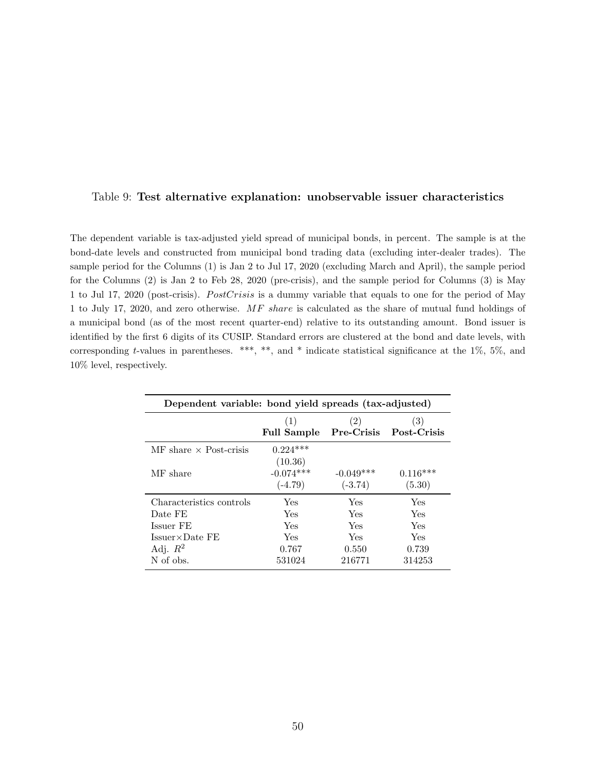#### <span id="page-50-0"></span>Table 9: Test alternative explanation: unobservable issuer characteristics

The dependent variable is tax-adjusted yield spread of municipal bonds, in percent. The sample is at the bond-date levels and constructed from municipal bond trading data (excluding inter-dealer trades). The sample period for the Columns (1) is Jan 2 to Jul 17, 2020 (excluding March and April), the sample period for the Columns (2) is Jan 2 to Feb 28, 2020 (pre-crisis), and the sample period for Columns (3) is May 1 to Jul 17, 2020 (post-crisis). PostCrisis is a dummy variable that equals to one for the period of May 1 to July 17, 2020, and zero otherwise. MF share is calculated as the share of mutual fund holdings of a municipal bond (as of the most recent quarter-end) relative to its outstanding amount. Bond issuer is identified by the first 6 digits of its CUSIP. Standard errors are clustered at the bond and date levels, with corresponding t-values in parentheses. \*\*\*, \*\*, and \* indicate statistical significance at the  $1\%$ ,  $5\%$ , and 10% level, respectively.

| Dependent variable: bond yield spreads (tax-adjusted) |                                     |                          |                               |  |  |  |  |
|-------------------------------------------------------|-------------------------------------|--------------------------|-------------------------------|--|--|--|--|
|                                                       | (1)<br><b>Full Sample</b>           | (2)                      | (3)<br>Pre-Crisis Post-Crisis |  |  |  |  |
| $\overline{\text{MF}}$ share $\times$ Post-crisis     | $0.224***$                          |                          |                               |  |  |  |  |
| MF share                                              | (10.36)<br>$-0.074***$<br>$(-4.79)$ | $-0.049***$<br>$(-3.74)$ | $0.116***$<br>(5.30)          |  |  |  |  |
| Characteristics controls                              | Yes                                 | Yes                      | Yes                           |  |  |  |  |
| Date FE                                               | Yes                                 | Yes                      | Yes                           |  |  |  |  |
| Issuer FE                                             | Yes                                 | Yes                      | Yes                           |  |  |  |  |
| $Issuer \times Date FE$                               | Yes                                 | Yes                      | Yes                           |  |  |  |  |
| Adj. $R^2$                                            | 0.767                               | 0.550                    | 0.739                         |  |  |  |  |
| N of obs.                                             | 531024                              | 216771                   | 314253                        |  |  |  |  |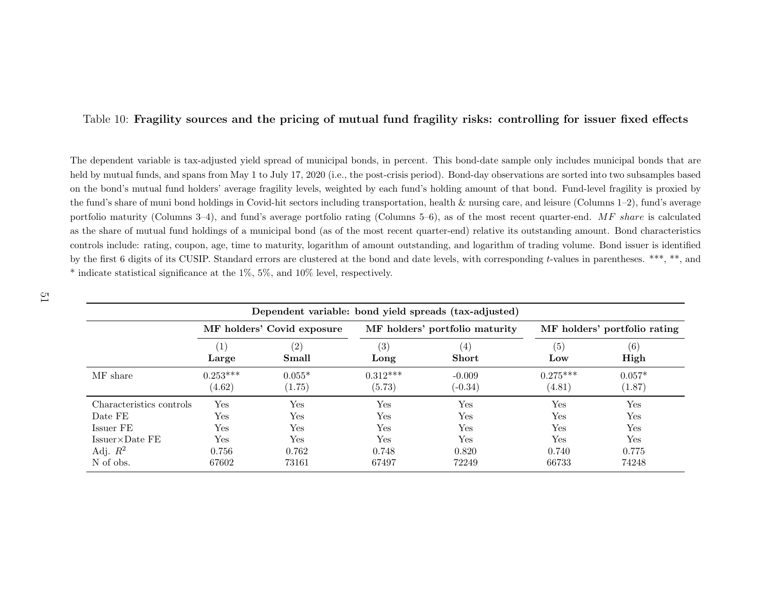#### <span id="page-51-0"></span>Table 10: Fragility sources and the pricing of mutual fund fragility risks: controlling for issuer fixed effects

The dependent variable is tax-adjusted <sup>y</sup>ield spread of municipal bonds, in percent. This bond-date sample only includes municipal bonds that areheld by mutual funds, and spans from May 1 to July 17, 2020 (i.e., the post-crisis period). Bond-day observations are sorted into two subsamples based on the bond's mutual fund holders' average fragility levels, weighted by each fund's holding amount of that bond. Fund-level fragility is proxied by the fund's share of muni bond holdings in Covid-hit sectors including transportation, health & nursing care, and leisure (Columns 1–2), fund's averageportfolio maturity (Columns 3–4), and fund's average portfolio rating (Columns 5–6), as of the most recent quarter-end.  $MF$  share is calculated as the share of mutual fund holdings of <sup>a</sup> municipal bond (as of the most recent quarter-end) relative its outstanding amount. Bond characteristicscontrols include: rating, coupon, age, time to maturity, logarithm of amount outstanding, and logarithm of trading volume. Bond issuer is identifiedby the first 6 digits of its CUSIP. Standard errors are clustered at the bond and date levels, with corresponding t-values in parentheses. \*\*\*, \*\*, and \* indicate statistical significance at the 1%, 5%, and 10% level, respectively.

| Dependent variable: bond yield spreads (tax-adjusted) |                            |          |            |                                |            |                              |  |
|-------------------------------------------------------|----------------------------|----------|------------|--------------------------------|------------|------------------------------|--|
|                                                       | MF holders' Covid exposure |          |            | MF holders' portfolio maturity |            | MF holders' portfolio rating |  |
|                                                       | $\left(1\right)$           | (2)      | (3)        | (4)                            | (5)        | (6)                          |  |
|                                                       | Large                      | Small    | Long       | <b>Short</b>                   | Low        | High                         |  |
| MF share                                              | $0.253***$                 | $0.055*$ | $0.312***$ | $-0.009$                       | $0.275***$ | $0.057*$                     |  |
|                                                       | (4.62)                     | (1.75)   | (5.73)     | $(-0.34)$                      | (4.81)     | (1.87)                       |  |
| Characteristics controls                              | Yes                        | Yes      | Yes        | Yes                            | Yes        | Yes                          |  |
| Date FE                                               | $\operatorname{Yes}$       | Yes      | <b>Yes</b> | Yes                            | Yes        | Yes                          |  |
| Issuer FE                                             | Yes                        | Yes      | Yes        | Yes                            | Yes        | Yes                          |  |
| $Issuer \times Date FE$                               | Yes                        | Yes      | Yes        | Yes                            | Yes        | Yes                          |  |
| Adj. $R^2$                                            | 0.756                      | 0.762    | 0.748      | 0.820                          | 0.740      | 0.775                        |  |
| N of obs.                                             | 67602                      | 73161    | 67497      | 72249                          | 66733      | 74248                        |  |